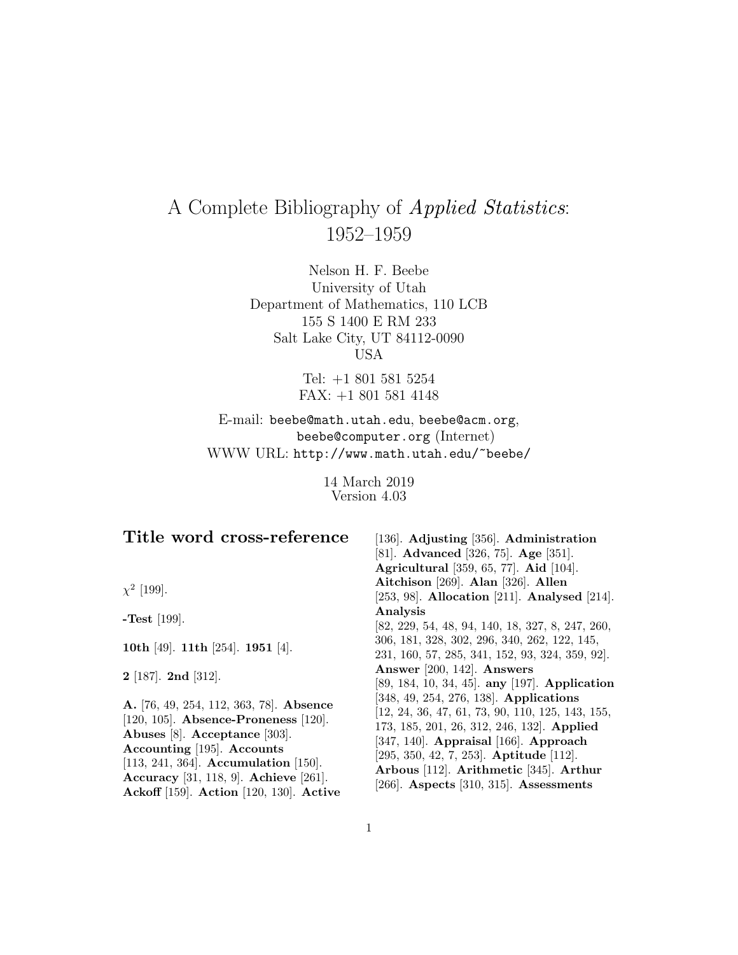# A Complete Bibliography of Applied Statistics: 1952–1959

Nelson H. F. Beebe University of Utah Department of Mathematics, 110 LCB 155 S 1400 E RM 233 Salt Lake City, UT 84112-0090 USA

> Tel: +1 801 581 5254 FAX: +1 801 581 4148

E-mail: beebe@math.utah.edu, beebe@acm.org, beebe@computer.org (Internet) WWW URL: http://www.math.utah.edu/~beebe/

> 14 March 2019 Version 4.03

| Title word cross-reference                                                                                                                                                                                                                                                 | [136]. Adjusting [356]. Administration<br>[81]. Advanced [326, 75]. Age [351].<br><b>Agricultural</b> [359, 65, 77]. <b>Aid</b> [104].                                                                                                                                                                                             |
|----------------------------------------------------------------------------------------------------------------------------------------------------------------------------------------------------------------------------------------------------------------------------|------------------------------------------------------------------------------------------------------------------------------------------------------------------------------------------------------------------------------------------------------------------------------------------------------------------------------------|
| $\chi^2$ [199].                                                                                                                                                                                                                                                            | Aitchison [269]. Alan [326]. Allen<br>[253, 98]. Allocation [211]. Analysed [214].                                                                                                                                                                                                                                                 |
| <b>-Test</b> [199].                                                                                                                                                                                                                                                        | Analysis<br>[82, 229, 54, 48, 94, 140, 18, 327, 8, 247, 260,                                                                                                                                                                                                                                                                       |
| 10th [49]. 11th [254]. 1951 [4].                                                                                                                                                                                                                                           | 306, 181, 328, 302, 296, 340, 262, 122, 145,<br>231, 160, 57, 285, 341, 152, 93, 324, 359, 92.                                                                                                                                                                                                                                     |
| $2$ [187]. $2nd$ [312].                                                                                                                                                                                                                                                    | Answer [200, 142]. Answers<br>[89, 184, 10, 34, 45]. any [197]. Application                                                                                                                                                                                                                                                        |
| A. [76, 49, 254, 112, 363, 78]. Absence<br>[120, 105]. Absence-Proneness [120].<br>Abuses [8]. Acceptance [303].<br>Accounting [195]. Accounts<br>[113, 241, 364]. Accumulation [150].<br>Accuracy [31, 118, 9]. Achieve [261].<br>Ackoff [159]. Action [120, 130]. Active | [348, 49, 254, 276, 138]. Applications<br>$[12, 24, 36, 47, 61, 73, 90, 110, 125, 143, 155,$<br>173, 185, 201, 26, 312, 246, 132. Applied<br>$[347, 140]$ . Appraisal [166]. Approach<br>$[295, 350, 42, 7, 253]$ . Aptitude $[112]$ .<br>Arbous [112]. Arithmetic [345]. Arthur<br>[ $266$ ]. Aspects [ $310, 315$ ]. Assessments |

1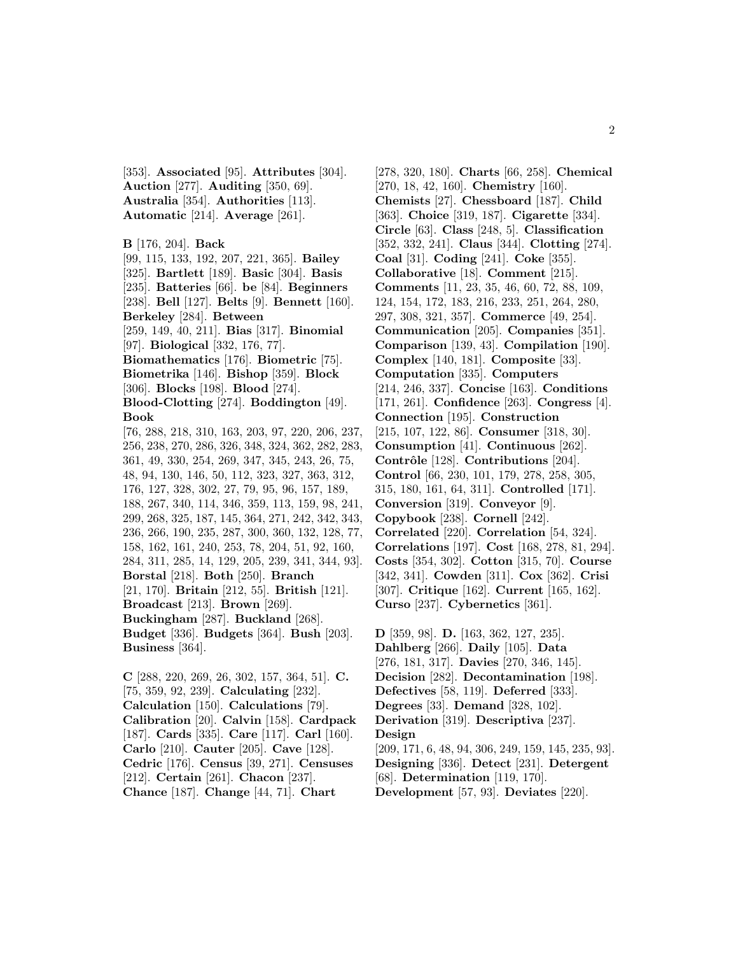[353]. **Associated** [95]. **Attributes** [304]. **Auction** [277]. **Auditing** [350, 69]. **Australia** [354]. **Authorities** [113]. **Automatic** [214]. **Average** [261].

```
B [176, 204]. Back
[99, 115, 133, 192, 207, 221, 365]. Bailey
```
[325]. **Bartlett** [189]. **Basic** [304]. **Basis** [235]. **Batteries** [66]. **be** [84]. **Beginners** [238]. **Bell** [127]. **Belts** [9]. **Bennett** [160]. **Berkeley** [284]. **Between** [259, 149, 40, 211]. **Bias** [317]. **Binomial** [97]. **Biological** [332, 176, 77]. **Biomathematics** [176]. **Biometric** [75]. **Biometrika** [146]. **Bishop** [359]. **Block** [306]. **Blocks** [198]. **Blood** [274]. **Blood-Clotting** [274]. **Boddington** [49]. **Book** [76, 288, 218, 310, 163, 203, 97, 220, 206, 237, 256, 238, 270, 286, 326, 348, 324, 362, 282, 283, 361, 49, 330, 254, 269, 347, 345, 243, 26, 75, 48, 94, 130, 146, 50, 112, 323, 327, 363, 312, 176, 127, 328, 302, 27, 79, 95, 96, 157, 189, 188, 267, 340, 114, 346, 359, 113, 159, 98, 241, 299, 268, 325, 187, 145, 364, 271, 242, 342, 343, 236, 266, 190, 235, 287, 300, 360, 132, 128, 77, 158, 162, 161, 240, 253, 78, 204, 51, 92, 160, 284, 311, 285, 14, 129, 205, 239, 341, 344, 93]. **Borstal** [218]. **Both** [250]. **Branch** [21, 170]. **Britain** [212, 55]. **British** [121]. **Broadcast** [213]. **Brown** [269]. **Buckingham** [287]. **Buckland** [268]. **Budget** [336]. **Budgets** [364]. **Bush** [203]. **Business** [364].

**C** [288, 220, 269, 26, 302, 157, 364, 51]. **C.** [75, 359, 92, 239]. **Calculating** [232]. **Calculation** [150]. **Calculations** [79]. **Calibration** [20]. **Calvin** [158]. **Cardpack** [187]. **Cards** [335]. **Care** [117]. **Carl** [160]. **Carlo** [210]. **Cauter** [205]. **Cave** [128]. **Cedric** [176]. **Census** [39, 271]. **Censuses** [212]. **Certain** [261]. **Chacon** [237]. **Chance** [187]. **Change** [44, 71]. **Chart**

[278, 320, 180]. **Charts** [66, 258]. **Chemical** [270, 18, 42, 160]. **Chemistry** [160]. **Chemists** [27]. **Chessboard** [187]. **Child** [363]. **Choice** [319, 187]. **Cigarette** [334]. **Circle** [63]. **Class** [248, 5]. **Classification** [352, 332, 241]. **Claus** [344]. **Clotting** [274]. **Coal** [31]. **Coding** [241]. **Coke** [355]. **Collaborative** [18]. **Comment** [215]. **Comments** [11, 23, 35, 46, 60, 72, 88, 109, 124, 154, 172, 183, 216, 233, 251, 264, 280, 297, 308, 321, 357]. **Commerce** [49, 254]. **Communication** [205]. **Companies** [351]. **Comparison** [139, 43]. **Compilation** [190]. **Complex** [140, 181]. **Composite** [33]. **Computation** [335]. **Computers** [214, 246, 337]. **Concise** [163]. **Conditions** [171, 261]. **Confidence** [263]. **Congress** [4]. **Connection** [195]. **Construction** [215, 107, 122, 86]. **Consumer** [318, 30]. **Consumption** [41]. **Continuous** [262]. **Contrˆole** [128]. **Contributions** [204]. **Control** [66, 230, 101, 179, 278, 258, 305, 315, 180, 161, 64, 311]. **Controlled** [171]. **Conversion** [319]. **Conveyor** [9]. **Copybook** [238]. **Cornell** [242]. **Correlated** [220]. **Correlation** [54, 324]. **Correlations** [197]. **Cost** [168, 278, 81, 294]. **Costs** [354, 302]. **Cotton** [315, 70]. **Course** [342, 341]. **Cowden** [311]. **Cox** [362]. **Crisi** [307]. **Critique** [162]. **Current** [165, 162]. **Curso** [237]. **Cybernetics** [361].

**D** [359, 98]. **D.** [163, 362, 127, 235]. **Dahlberg** [266]. **Daily** [105]. **Data** [276, 181, 317]. **Davies** [270, 346, 145]. **Decision** [282]. **Decontamination** [198]. **Defectives** [58, 119]. **Deferred** [333]. **Degrees** [33]. **Demand** [328, 102]. **Derivation** [319]. **Descriptiva** [237]. **Design** [209, 171, 6, 48, 94, 306, 249, 159, 145, 235, 93]. **Designing** [336]. **Detect** [231]. **Detergent** [68]. **Determination** [119, 170]. **Development** [57, 93]. **Deviates** [220].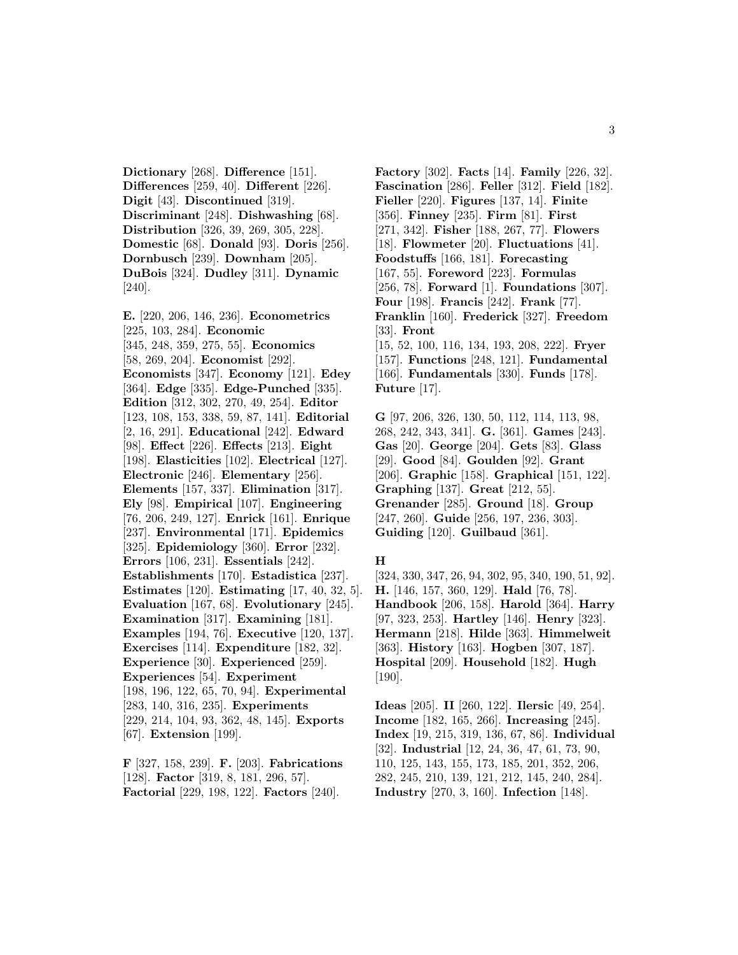**Dictionary** [268]. **Difference** [151]. **Differences** [259, 40]. **Different** [226]. **Digit** [43]. **Discontinued** [319]. **Discriminant** [248]. **Dishwashing** [68]. **Distribution** [326, 39, 269, 305, 228]. **Domestic** [68]. **Donald** [93]. **Doris** [256]. **Dornbusch** [239]. **Downham** [205]. **DuBois** [324]. **Dudley** [311]. **Dynamic** [240].

**E.** [220, 206, 146, 236]. **Econometrics** [225, 103, 284]. **Economic** [345, 248, 359, 275, 55]. **Economics** [58, 269, 204]. **Economist** [292]. **Economists** [347]. **Economy** [121]. **Edey** [364]. **Edge** [335]. **Edge-Punched** [335]. **Edition** [312, 302, 270, 49, 254]. **Editor** [123, 108, 153, 338, 59, 87, 141]. **Editorial** [2, 16, 291]. **Educational** [242]. **Edward** [98]. **Effect** [226]. **Effects** [213]. **Eight** [198]. **Elasticities** [102]. **Electrical** [127]. **Electronic** [246]. **Elementary** [256]. **Elements** [157, 337]. **Elimination** [317]. **Ely** [98]. **Empirical** [107]. **Engineering** [76, 206, 249, 127]. **Enrick** [161]. **Enrique** [237]. **Environmental** [171]. **Epidemics** [325]. **Epidemiology** [360]. **Error** [232]. **Errors** [106, 231]. **Essentials** [242]. **Establishments** [170]. **Estadistica** [237]. **Estimates** [120]. **Estimating** [17, 40, 32, 5]. **Evaluation** [167, 68]. **Evolutionary** [245]. **Examination** [317]. **Examining** [181]. **Examples** [194, 76]. **Executive** [120, 137]. **Exercises** [114]. **Expenditure** [182, 32]. **Experience** [30]. **Experienced** [259]. **Experiences** [54]. **Experiment** [198, 196, 122, 65, 70, 94]. **Experimental** [283, 140, 316, 235]. **Experiments** [229, 214, 104, 93, 362, 48, 145]. **Exports** [67]. **Extension** [199].

**F** [327, 158, 239]. **F.** [203]. **Fabrications** [128]. **Factor** [319, 8, 181, 296, 57]. **Factorial** [229, 198, 122]. **Factors** [240].

**Factory** [302]. **Facts** [14]. **Family** [226, 32]. **Fascination** [286]. **Feller** [312]. **Field** [182]. **Fieller** [220]. **Figures** [137, 14]. **Finite** [356]. **Finney** [235]. **Firm** [81]. **First** [271, 342]. **Fisher** [188, 267, 77]. **Flowers** [18]. **Flowmeter** [20]. **Fluctuations** [41]. **Foodstuffs** [166, 181]. **Forecasting** [167, 55]. **Foreword** [223]. **Formulas** [256, 78]. **Forward** [1]. **Foundations** [307]. **Four** [198]. **Francis** [242]. **Frank** [77]. **Franklin** [160]. **Frederick** [327]. **Freedom** [33]. **Front** [15, 52, 100, 116, 134, 193, 208, 222]. **Fryer** [157]. **Functions** [248, 121]. **Fundamental** [166]. **Fundamentals** [330]. **Funds** [178]. **Future** [17].

**G** [97, 206, 326, 130, 50, 112, 114, 113, 98, 268, 242, 343, 341]. **G.** [361]. **Games** [243]. **Gas** [20]. **George** [204]. **Gets** [83]. **Glass** [29]. **Good** [84]. **Goulden** [92]. **Grant** [206]. **Graphic** [158]. **Graphical** [151, 122]. **Graphing** [137]. **Great** [212, 55]. **Grenander** [285]. **Ground** [18]. **Group** [247, 260]. **Guide** [256, 197, 236, 303]. **Guiding** [120]. **Guilbaud** [361].

#### **H**

[324, 330, 347, 26, 94, 302, 95, 340, 190, 51, 92]. **H.** [146, 157, 360, 129]. **Hald** [76, 78]. **Handbook** [206, 158]. **Harold** [364]. **Harry** [97, 323, 253]. **Hartley** [146]. **Henry** [323]. **Hermann** [218]. **Hilde** [363]. **Himmelweit** [363]. **History** [163]. **Hogben** [307, 187]. **Hospital** [209]. **Household** [182]. **Hugh** [190].

**Ideas** [205]. **II** [260, 122]. **Ilersic** [49, 254]. **Income** [182, 165, 266]. **Increasing** [245]. **Index** [19, 215, 319, 136, 67, 86]. **Individual** [32]. **Industrial** [12, 24, 36, 47, 61, 73, 90, 110, 125, 143, 155, 173, 185, 201, 352, 206, 282, 245, 210, 139, 121, 212, 145, 240, 284]. **Industry** [270, 3, 160]. **Infection** [148].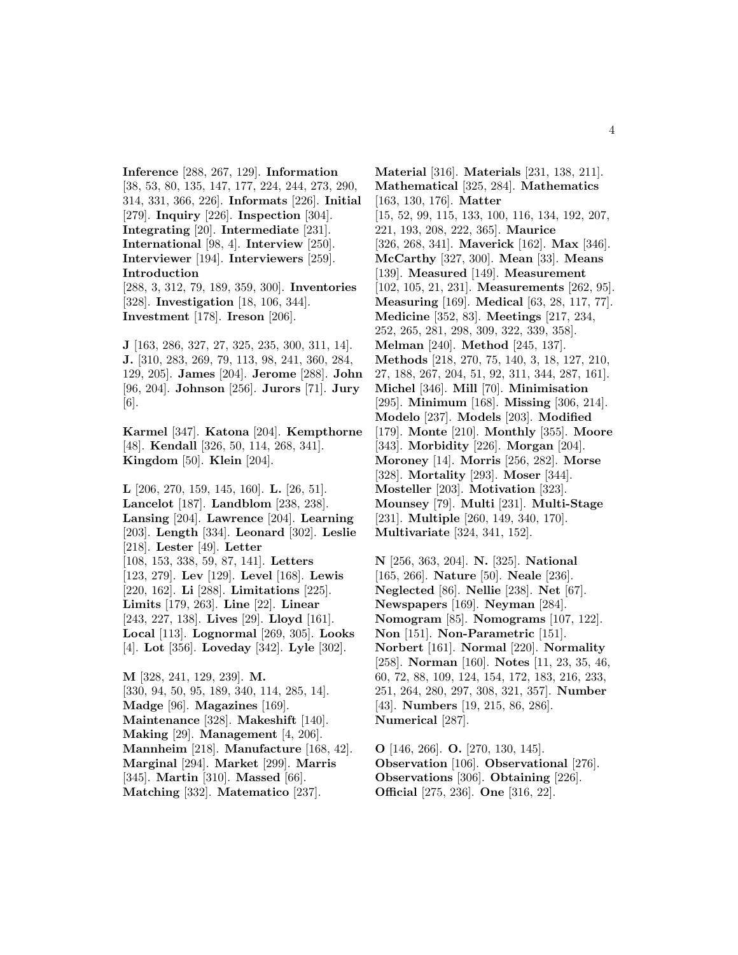**Inference** [288, 267, 129]. **Information** [38, 53, 80, 135, 147, 177, 224, 244, 273, 290, 314, 331, 366, 226]. **Informats** [226]. **Initial** [279]. **Inquiry** [226]. **Inspection** [304]. **Integrating** [20]. **Intermediate** [231]. **International** [98, 4]. **Interview** [250]. **Interviewer** [194]. **Interviewers** [259]. **Introduction** [288, 3, 312, 79, 189, 359, 300]. **Inventories** [328]. **Investigation** [18, 106, 344].

**Investment** [178]. **Ireson** [206].

**J** [163, 286, 327, 27, 325, 235, 300, 311, 14]. **J.** [310, 283, 269, 79, 113, 98, 241, 360, 284, 129, 205]. **James** [204]. **Jerome** [288]. **John** [96, 204]. **Johnson** [256]. **Jurors** [71]. **Jury** [6].

**Karmel** [347]. **Katona** [204]. **Kempthorne** [48]. **Kendall** [326, 50, 114, 268, 341]. **Kingdom** [50]. **Klein** [204].

**L** [206, 270, 159, 145, 160]. **L.** [26, 51]. **Lancelot** [187]. **Landblom** [238, 238]. **Lansing** [204]. **Lawrence** [204]. **Learning** [203]. **Length** [334]. **Leonard** [302]. **Leslie** [218]. **Lester** [49]. **Letter** [108, 153, 338, 59, 87, 141]. **Letters** [123, 279]. **Lev** [129]. **Level** [168]. **Lewis** [220, 162]. **Li** [288]. **Limitations** [225]. **Limits** [179, 263]. **Line** [22]. **Linear** [243, 227, 138]. **Lives** [29]. **Lloyd** [161]. **Local** [113]. **Lognormal** [269, 305]. **Looks** [4]. **Lot** [356]. **Loveday** [342]. **Lyle** [302].

**M** [328, 241, 129, 239]. **M.** [330, 94, 50, 95, 189, 340, 114, 285, 14]. **Madge** [96]. **Magazines** [169]. **Maintenance** [328]. **Makeshift** [140]. **Making** [29]. **Management** [4, 206]. **Mannheim** [218]. **Manufacture** [168, 42]. **Marginal** [294]. **Market** [299]. **Marris** [345]. **Martin** [310]. **Massed** [66]. **Matching** [332]. **Matematico** [237].

**Material** [316]. **Materials** [231, 138, 211]. **Mathematical** [325, 284]. **Mathematics** [163, 130, 176]. **Matter** [15, 52, 99, 115, 133, 100, 116, 134, 192, 207, 221, 193, 208, 222, 365]. **Maurice** [326, 268, 341]. **Maverick** [162]. **Max** [346]. **McCarthy** [327, 300]. **Mean** [33]. **Means** [139]. **Measured** [149]. **Measurement** [102, 105, 21, 231]. **Measurements** [262, 95]. **Measuring** [169]. **Medical** [63, 28, 117, 77]. **Medicine** [352, 83]. **Meetings** [217, 234, 252, 265, 281, 298, 309, 322, 339, 358]. **Melman** [240]. **Method** [245, 137]. **Methods** [218, 270, 75, 140, 3, 18, 127, 210, 27, 188, 267, 204, 51, 92, 311, 344, 287, 161]. **Michel** [346]. **Mill** [70]. **Minimisation** [295]. **Minimum** [168]. **Missing** [306, 214]. **Modelo** [237]. **Models** [203]. **Modified** [179]. **Monte** [210]. **Monthly** [355]. **Moore** [343]. **Morbidity** [226]. **Morgan** [204]. **Moroney** [14]. **Morris** [256, 282]. **Morse** [328]. **Mortality** [293]. **Moser** [344]. **Mosteller** [203]. **Motivation** [323]. **Mounsey** [79]. **Multi** [231]. **Multi-Stage** [231]. **Multiple** [260, 149, 340, 170]. **Multivariate** [324, 341, 152].

**N** [256, 363, 204]. **N.** [325]. **National** [165, 266]. **Nature** [50]. **Neale** [236]. **Neglected** [86]. **Nellie** [238]. **Net** [67]. **Newspapers** [169]. **Neyman** [284]. **Nomogram** [85]. **Nomograms** [107, 122]. **Non** [151]. **Non-Parametric** [151]. **Norbert** [161]. **Normal** [220]. **Normality** [258]. **Norman** [160]. **Notes** [11, 23, 35, 46, 60, 72, 88, 109, 124, 154, 172, 183, 216, 233, 251, 264, 280, 297, 308, 321, 357]. **Number** [43]. **Numbers** [19, 215, 86, 286]. **Numerical** [287].

**O** [146, 266]. **O.** [270, 130, 145]. **Observation** [106]. **Observational** [276]. **Observations** [306]. **Obtaining** [226]. **Official** [275, 236]. **One** [316, 22].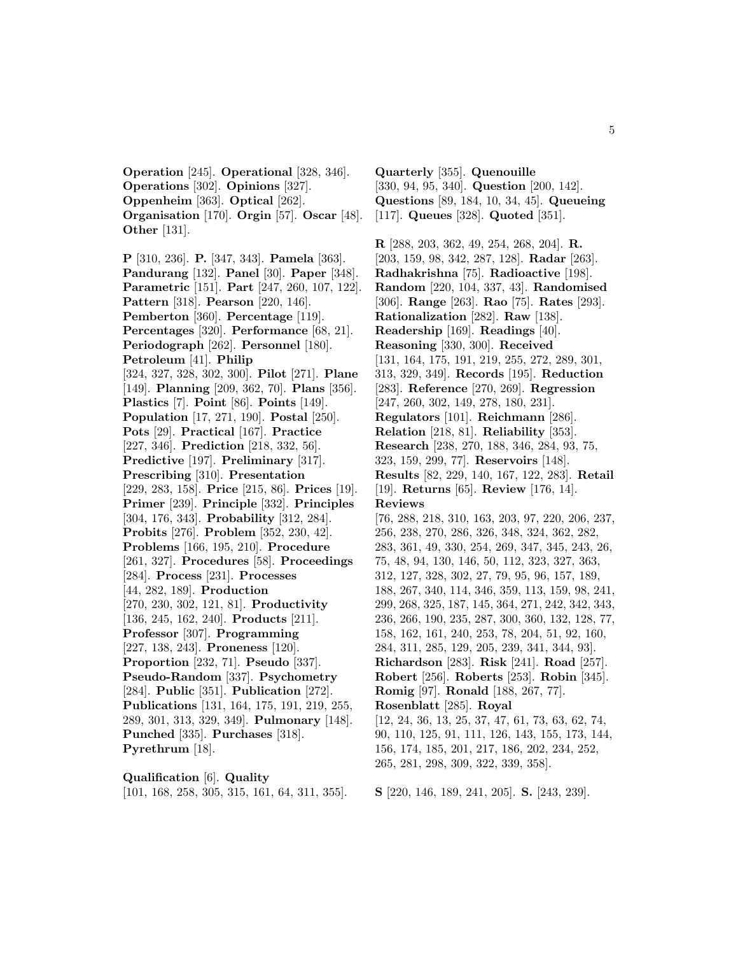**Operation** [245]. **Operational** [328, 346]. **Operations** [302]. **Opinions** [327]. **Oppenheim** [363]. **Optical** [262]. **Organisation** [170]. **Orgin** [57]. **Oscar** [48]. **Other** [131].

**P** [310, 236]. **P.** [347, 343]. **Pamela** [363]. **Pandurang** [132]. **Panel** [30]. **Paper** [348]. **Parametric** [151]. **Part** [247, 260, 107, 122]. **Pattern** [318]. **Pearson** [220, 146]. **Pemberton** [360]. **Percentage** [119]. **Percentages** [320]. **Performance** [68, 21]. **Periodograph** [262]. **Personnel** [180]. **Petroleum** [41]. **Philip** [324, 327, 328, 302, 300]. **Pilot** [271]. **Plane** [149]. **Planning** [209, 362, 70]. **Plans** [356]. **Plastics** [7]. **Point** [86]. **Points** [149]. **Population** [17, 271, 190]. **Postal** [250]. **Pots** [29]. **Practical** [167]. **Practice** [227, 346]. **Prediction** [218, 332, 56]. **Predictive** [197]. **Preliminary** [317]. **Prescribing** [310]. **Presentation** [229, 283, 158]. **Price** [215, 86]. **Prices** [19]. **Primer** [239]. **Principle** [332]. **Principles** [304, 176, 343]. **Probability** [312, 284]. **Probits** [276]. **Problem** [352, 230, 42]. **Problems** [166, 195, 210]. **Procedure** [261, 327]. **Procedures** [58]. **Proceedings** [284]. **Process** [231]. **Processes** [44, 282, 189]. **Production** [270, 230, 302, 121, 81]. **Productivity** [136, 245, 162, 240]. **Products** [211]. **Professor** [307]. **Programming** [227, 138, 243]. **Proneness** [120]. **Proportion** [232, 71]. **Pseudo** [337]. **Pseudo-Random** [337]. **Psychometry** [284]. **Public** [351]. **Publication** [272]. **Publications** [131, 164, 175, 191, 219, 255, 289, 301, 313, 329, 349]. **Pulmonary** [148]. **Punched** [335]. **Purchases** [318]. **Pyrethrum** [18].

**Qualification** [6]. **Quality** [101, 168, 258, 305, 315, 161, 64, 311, 355].

**Quarterly** [355]. **Quenouille** [330, 94, 95, 340]. **Question** [200, 142]. **Questions** [89, 184, 10, 34, 45]. **Queueing** [117]. **Queues** [328]. **Quoted** [351].

**R** [288, 203, 362, 49, 254, 268, 204]. **R.** [203, 159, 98, 342, 287, 128]. **Radar** [263]. **Radhakrishna** [75]. **Radioactive** [198]. **Random** [220, 104, 337, 43]. **Randomised** [306]. **Range** [263]. **Rao** [75]. **Rates** [293]. **Rationalization** [282]. **Raw** [138]. **Readership** [169]. **Readings** [40]. **Reasoning** [330, 300]. **Received** [131, 164, 175, 191, 219, 255, 272, 289, 301, 313, 329, 349]. **Records** [195]. **Reduction** [283]. **Reference** [270, 269]. **Regression** [247, 260, 302, 149, 278, 180, 231]. **Regulators** [101]. **Reichmann** [286]. **Relation** [218, 81]. **Reliability** [353]. **Research** [238, 270, 188, 346, 284, 93, 75, 323, 159, 299, 77]. **Reservoirs** [148]. **Results** [82, 229, 140, 167, 122, 283]. **Retail** [19]. **Returns** [65]. **Review** [176, 14]. **Reviews** [76, 288, 218, 310, 163, 203, 97, 220, 206, 237, 256, 238, 270, 286, 326, 348, 324, 362, 282, 283, 361, 49, 330, 254, 269, 347, 345, 243, 26, 75, 48, 94, 130, 146, 50, 112, 323, 327, 363, 312, 127, 328, 302, 27, 79, 95, 96, 157, 189, 188, 267, 340, 114, 346, 359, 113, 159, 98, 241, 299, 268, 325, 187, 145, 364, 271, 242, 342, 343, 236, 266, 190, 235, 287, 300, 360, 132, 128, 77, 158, 162, 161, 240, 253, 78, 204, 51, 92, 160, 284, 311, 285, 129, 205, 239, 341, 344, 93]. **Richardson** [283]. **Risk** [241]. **Road** [257]. **Robert** [256]. **Roberts** [253]. **Robin** [345]. **Romig** [97]. **Ronald** [188, 267, 77]. **Rosenblatt** [285]. **Royal** [12, 24, 36, 13, 25, 37, 47, 61, 73, 63, 62, 74, 90, 110, 125, 91, 111, 126, 143, 155, 173, 144, 156, 174, 185, 201, 217, 186, 202, 234, 252, 265, 281, 298, 309, 322, 339, 358].

**S** [220, 146, 189, 241, 205]. **S.** [243, 239].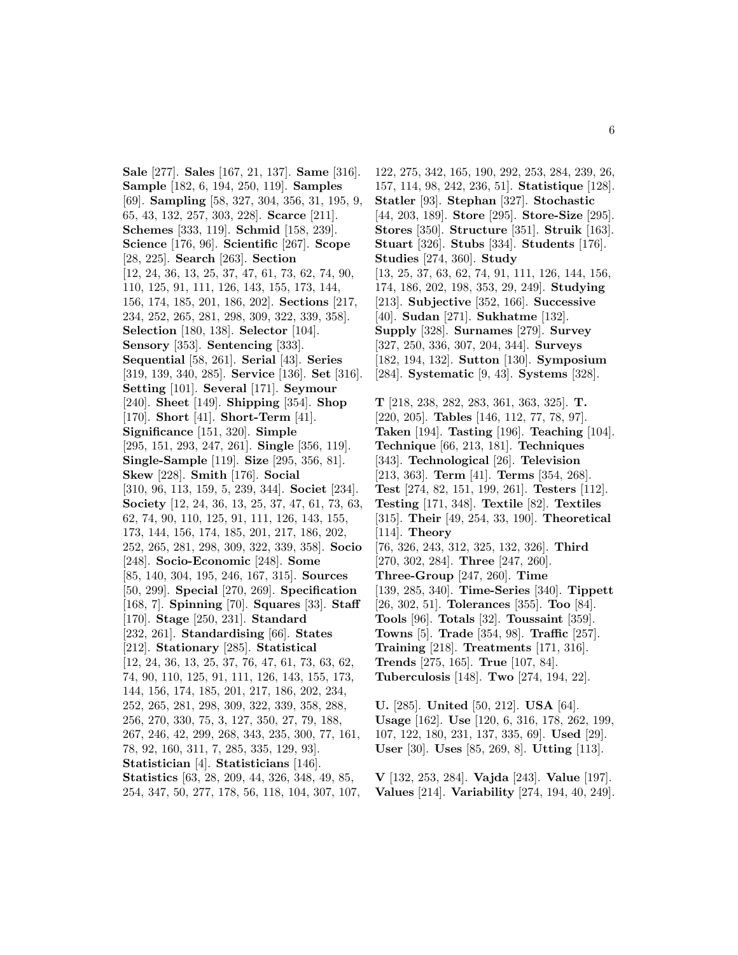**Sale** [277]. **Sales** [167, 21, 137]. **Same** [316]. **Sample** [182, 6, 194, 250, 119]. **Samples** [69]. **Sampling** [58, 327, 304, 356, 31, 195, 9, 65, 43, 132, 257, 303, 228]. **Scarce** [211]. **Schemes** [333, 119]. **Schmid** [158, 239]. **Science** [176, 96]. **Scientific** [267]. **Scope** [28, 225]. **Search** [263]. **Section** [12, 24, 36, 13, 25, 37, 47, 61, 73, 62, 74, 90, 110, 125, 91, 111, 126, 143, 155, 173, 144, 156, 174, 185, 201, 186, 202]. **Sections** [217, 234, 252, 265, 281, 298, 309, 322, 339, 358]. **Selection** [180, 138]. **Selector** [104]. **Sensory** [353]. **Sentencing** [333]. **Sequential** [58, 261]. **Serial** [43]. **Series** [319, 139, 340, 285]. **Service** [136]. **Set** [316]. **Setting** [101]. **Several** [171]. **Seymour** [240]. **Sheet** [149]. **Shipping** [354]. **Shop** [170]. **Short** [41]. **Short-Term** [41]. **Significance** [151, 320]. **Simple** [295, 151, 293, 247, 261]. **Single** [356, 119]. **Single-Sample** [119]. **Size** [295, 356, 81]. **Skew** [228]. **Smith** [176]. **Social** [310, 96, 113, 159, 5, 239, 344]. **Societ** [234]. **Society** [12, 24, 36, 13, 25, 37, 47, 61, 73, 63, 62, 74, 90, 110, 125, 91, 111, 126, 143, 155, 173, 144, 156, 174, 185, 201, 217, 186, 202, 252, 265, 281, 298, 309, 322, 339, 358]. **Socio** [248]. **Socio-Economic** [248]. **Some** [85, 140, 304, 195, 246, 167, 315]. **Sources** [50, 299]. **Special** [270, 269]. **Specification** [168, 7]. **Spinning** [70]. **Squares** [33]. **Staff** [170]. **Stage** [250, 231]. **Standard** [232, 261]. **Standardising** [66]. **States** [212]. **Stationary** [285]. **Statistical** [12, 24, 36, 13, 25, 37, 76, 47, 61, 73, 63, 62, 74, 90, 110, 125, 91, 111, 126, 143, 155, 173, 144, 156, 174, 185, 201, 217, 186, 202, 234, 252, 265, 281, 298, 309, 322, 339, 358, 288, 256, 270, 330, 75, 3, 127, 350, 27, 79, 188, 267, 246, 42, 299, 268, 343, 235, 300, 77, 161, 78, 92, 160, 311, 7, 285, 335, 129, 93]. **Statistician** [4]. **Statisticians** [146]. **Statistics** [63, 28, 209, 44, 326, 348, 49, 85, 254, 347, 50, 277, 178, 56, 118, 104, 307, 107,

122, 275, 342, 165, 190, 292, 253, 284, 239, 26, 157, 114, 98, 242, 236, 51]. **Statistique** [128]. **Statler** [93]. **Stephan** [327]. **Stochastic** [44, 203, 189]. **Store** [295]. **Store-Size** [295]. **Stores** [350]. **Structure** [351]. **Struik** [163]. **Stuart** [326]. **Stubs** [334]. **Students** [176]. **Studies** [274, 360]. **Study** [13, 25, 37, 63, 62, 74, 91, 111, 126, 144, 156, 174, 186, 202, 198, 353, 29, 249]. **Studying** [213]. **Subjective** [352, 166]. **Successive** [40]. **Sudan** [271]. **Sukhatme** [132]. **Supply** [328]. **Surnames** [279]. **Survey** [327, 250, 336, 307, 204, 344]. **Surveys** [182, 194, 132]. **Sutton** [130]. **Symposium** [284]. **Systematic** [9, 43]. **Systems** [328].

**T** [218, 238, 282, 283, 361, 363, 325]. **T.** [220, 205]. **Tables** [146, 112, 77, 78, 97]. **Taken** [194]. **Tasting** [196]. **Teaching** [104]. **Technique** [66, 213, 181]. **Techniques** [343]. **Technological** [26]. **Television** [213, 363]. **Term** [41]. **Terms** [354, 268]. **Test** [274, 82, 151, 199, 261]. **Testers** [112]. **Testing** [171, 348]. **Textile** [82]. **Textiles** [315]. **Their** [49, 254, 33, 190]. **Theoretical** [114]. **Theory** [76, 326, 243, 312, 325, 132, 326]. **Third** [270, 302, 284]. **Three** [247, 260]. **Three-Group** [247, 260]. **Time** [139, 285, 340]. **Time-Series** [340]. **Tippett** [26, 302, 51]. **Tolerances** [355]. **Too** [84]. **Tools** [96]. **Totals** [32]. **Toussaint** [359]. **Towns** [5]. **Trade** [354, 98]. **Traffic** [257]. **Training** [218]. **Treatments** [171, 316]. **Trends** [275, 165]. **True** [107, 84]. **Tuberculosis** [148]. **Two** [274, 194, 22].

**U.** [285]. **United** [50, 212]. **USA** [64]. **Usage** [162]. **Use** [120, 6, 316, 178, 262, 199, 107, 122, 180, 231, 137, 335, 69]. **Used** [29]. **User** [30]. **Uses** [85, 269, 8]. **Utting** [113].

**V** [132, 253, 284]. **Vajda** [243]. **Value** [197]. **Values** [214]. **Variability** [274, 194, 40, 249].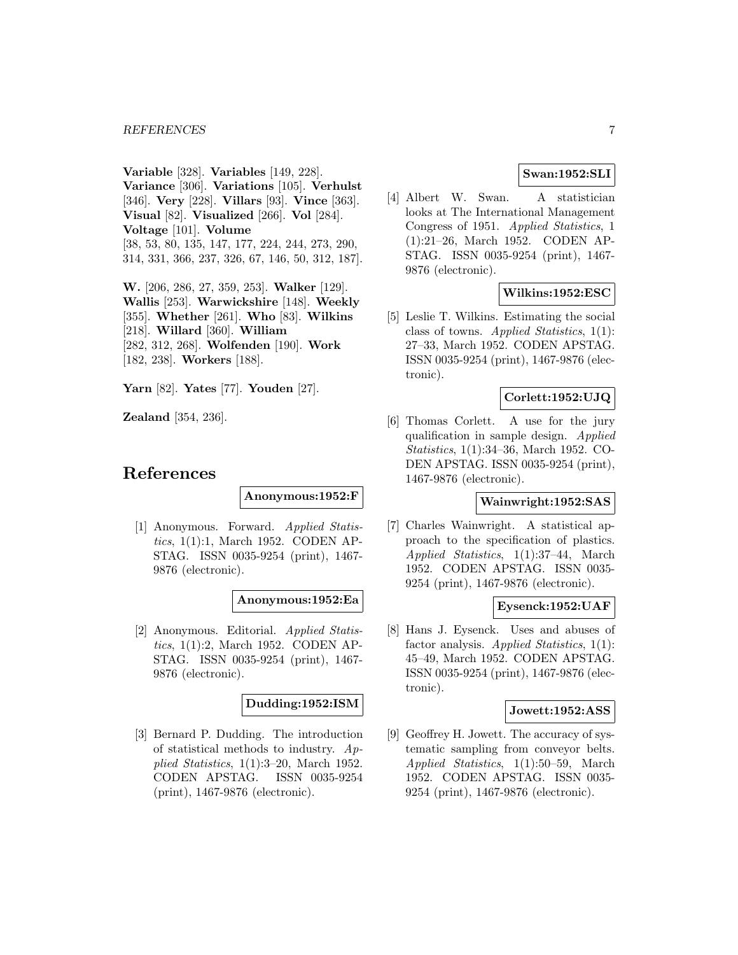**Variable** [328]. **Variables** [149, 228]. **Variance** [306]. **Variations** [105]. **Verhulst** [346]. **Very** [228]. **Villars** [93]. **Vince** [363]. **Visual** [82]. **Visualized** [266]. **Vol** [284]. **Voltage** [101]. **Volume** [38, 53, 80, 135, 147, 177, 224, 244, 273, 290, 314, 331, 366, 237, 326, 67, 146, 50, 312, 187].

**W.** [206, 286, 27, 359, 253]. **Walker** [129]. **Wallis** [253]. **Warwickshire** [148]. **Weekly** [355]. **Whether** [261]. **Who** [83]. **Wilkins** [218]. **Willard** [360]. **William** [282, 312, 268]. **Wolfenden** [190]. **Work** [182, 238]. **Workers** [188].

**Yarn** [82]. **Yates** [77]. **Youden** [27].

**Zealand** [354, 236].

# **References**

# **Anonymous:1952:F**

[1] Anonymous. Forward. Applied Statistics, 1(1):1, March 1952. CODEN AP-STAG. ISSN 0035-9254 (print), 1467- 9876 (electronic).

### **Anonymous:1952:Ea**

[2] Anonymous. Editorial. Applied Statistics, 1(1):2, March 1952. CODEN AP-STAG. ISSN 0035-9254 (print), 1467- 9876 (electronic).

### **Dudding:1952:ISM**

[3] Bernard P. Dudding. The introduction of statistical methods to industry.  $Ap$ plied Statistics, 1(1):3–20, March 1952. CODEN APSTAG. ISSN 0035-9254 (print), 1467-9876 (electronic).

# **Swan:1952:SLI**

[4] Albert W. Swan. A statistician looks at The International Management Congress of 1951. Applied Statistics, 1 (1):21–26, March 1952. CODEN AP-STAG. ISSN 0035-9254 (print), 1467- 9876 (electronic).

# **Wilkins:1952:ESC**

[5] Leslie T. Wilkins. Estimating the social class of towns. Applied Statistics, 1(1): 27–33, March 1952. CODEN APSTAG. ISSN 0035-9254 (print), 1467-9876 (electronic).

### **Corlett:1952:UJQ**

[6] Thomas Corlett. A use for the jury qualification in sample design. Applied Statistics, 1(1):34–36, March 1952. CO-DEN APSTAG. ISSN 0035-9254 (print), 1467-9876 (electronic).

#### **Wainwright:1952:SAS**

[7] Charles Wainwright. A statistical approach to the specification of plastics. Applied Statistics, 1(1):37–44, March 1952. CODEN APSTAG. ISSN 0035- 9254 (print), 1467-9876 (electronic).

### **Eysenck:1952:UAF**

[8] Hans J. Eysenck. Uses and abuses of factor analysis. Applied Statistics,  $1(1)$ : 45–49, March 1952. CODEN APSTAG. ISSN 0035-9254 (print), 1467-9876 (electronic).

#### **Jowett:1952:ASS**

[9] Geoffrey H. Jowett. The accuracy of systematic sampling from conveyor belts. Applied Statistics, 1(1):50–59, March 1952. CODEN APSTAG. ISSN 0035- 9254 (print), 1467-9876 (electronic).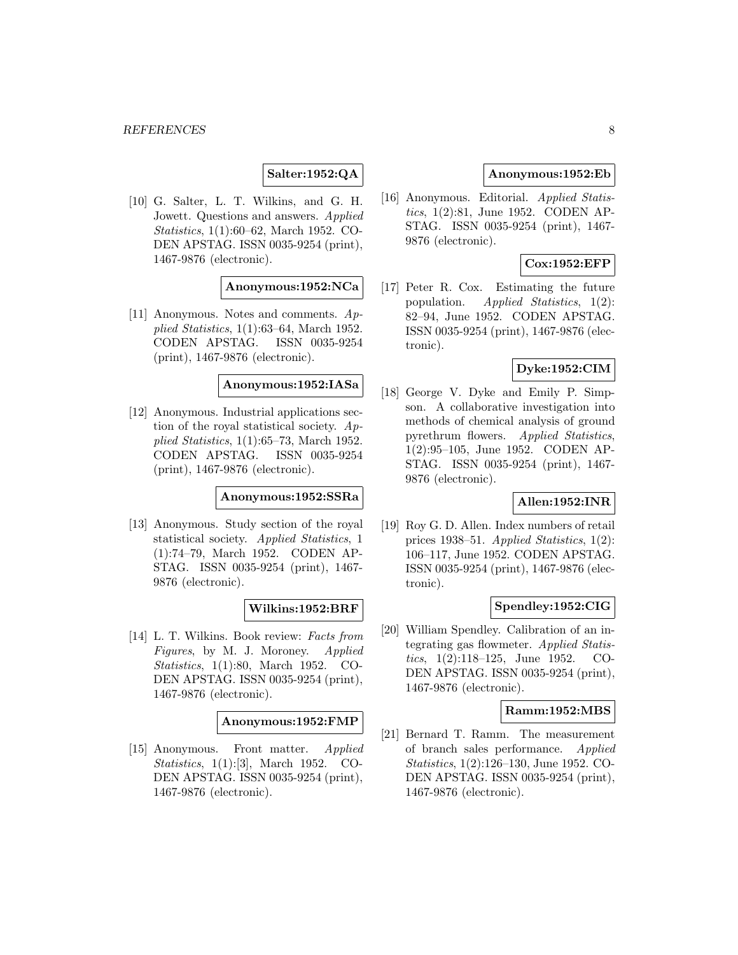# **Salter:1952:QA**

[10] G. Salter, L. T. Wilkins, and G. H. Jowett. Questions and answers. Applied Statistics, 1(1):60–62, March 1952. CO-DEN APSTAG. ISSN 0035-9254 (print), 1467-9876 (electronic).

# **Anonymous:1952:NCa**

[11] Anonymous. Notes and comments. Applied Statistics, 1(1):63–64, March 1952. CODEN APSTAG. ISSN 0035-9254 (print), 1467-9876 (electronic).

# **Anonymous:1952:IASa**

[12] Anonymous. Industrial applications section of the royal statistical society.  $Ap$ plied Statistics, 1(1):65–73, March 1952. CODEN APSTAG. ISSN 0035-9254 (print), 1467-9876 (electronic).

# **Anonymous:1952:SSRa**

[13] Anonymous. Study section of the royal statistical society. Applied Statistics, 1 (1):74–79, March 1952. CODEN AP-STAG. ISSN 0035-9254 (print), 1467- 9876 (electronic).

#### **Wilkins:1952:BRF**

[14] L. T. Wilkins. Book review: Facts from Figures, by M. J. Moroney. Applied Statistics, 1(1):80, March 1952. CO-DEN APSTAG. ISSN 0035-9254 (print), 1467-9876 (electronic).

#### **Anonymous:1952:FMP**

[15] Anonymous. Front matter. Applied Statistics, 1(1):[3], March 1952. CO-DEN APSTAG. ISSN 0035-9254 (print), 1467-9876 (electronic).

### **Anonymous:1952:Eb**

[16] Anonymous. Editorial. Applied Statistics, 1(2):81, June 1952. CODEN AP-STAG. ISSN 0035-9254 (print), 1467- 9876 (electronic).

# **Cox:1952:EFP**

[17] Peter R. Cox. Estimating the future population. Applied Statistics, 1(2): 82–94, June 1952. CODEN APSTAG. ISSN 0035-9254 (print), 1467-9876 (electronic).

#### **Dyke:1952:CIM**

[18] George V. Dyke and Emily P. Simpson. A collaborative investigation into methods of chemical analysis of ground pyrethrum flowers. Applied Statistics, 1(2):95–105, June 1952. CODEN AP-STAG. ISSN 0035-9254 (print), 1467- 9876 (electronic).

### **Allen:1952:INR**

[19] Roy G. D. Allen. Index numbers of retail prices 1938–51. Applied Statistics, 1(2): 106–117, June 1952. CODEN APSTAG. ISSN 0035-9254 (print), 1467-9876 (electronic).

#### **Spendley:1952:CIG**

[20] William Spendley. Calibration of an integrating gas flowmeter. Applied Statistics, 1(2):118–125, June 1952. CO-DEN APSTAG. ISSN 0035-9254 (print), 1467-9876 (electronic).

#### **Ramm:1952:MBS**

[21] Bernard T. Ramm. The measurement of branch sales performance. Applied Statistics, 1(2):126–130, June 1952. CO-DEN APSTAG. ISSN 0035-9254 (print), 1467-9876 (electronic).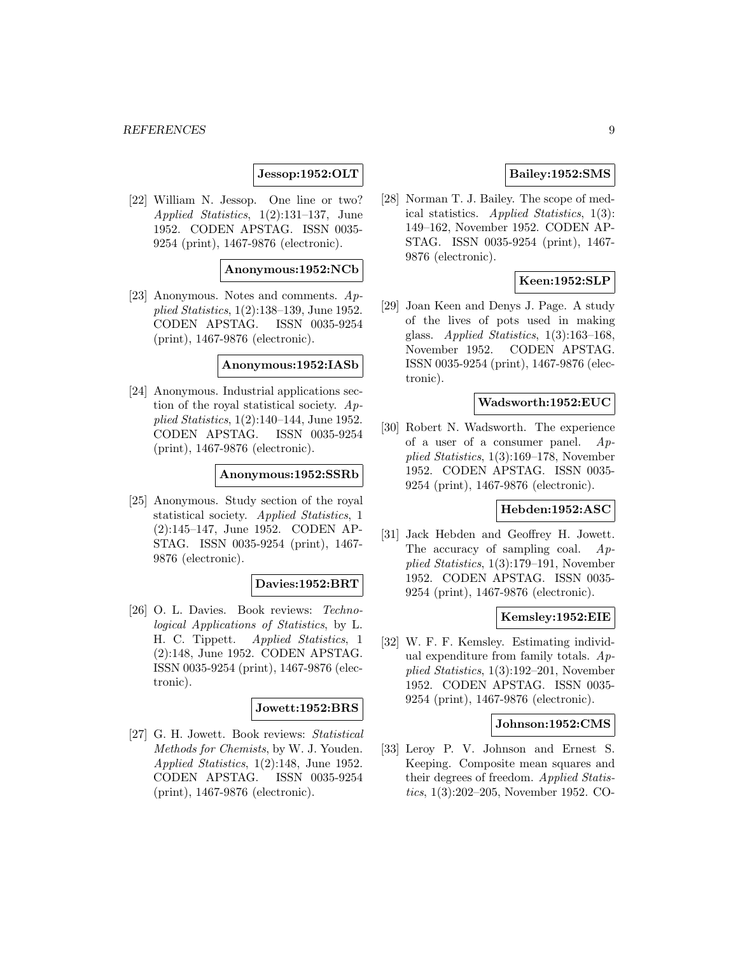# **Jessop:1952:OLT**

[22] William N. Jessop. One line or two? Applied Statistics, 1(2):131–137, June 1952. CODEN APSTAG. ISSN 0035- 9254 (print), 1467-9876 (electronic).

#### **Anonymous:1952:NCb**

[23] Anonymous. Notes and comments. Applied Statistics, 1(2):138–139, June 1952. CODEN APSTAG. ISSN 0035-9254 (print), 1467-9876 (electronic).

#### **Anonymous:1952:IASb**

[24] Anonymous. Industrial applications section of the royal statistical society. Applied Statistics, 1(2):140–144, June 1952. CODEN APSTAG. ISSN 0035-9254 (print), 1467-9876 (electronic).

#### **Anonymous:1952:SSRb**

[25] Anonymous. Study section of the royal statistical society. Applied Statistics, 1 (2):145–147, June 1952. CODEN AP-STAG. ISSN 0035-9254 (print), 1467- 9876 (electronic).

#### **Davies:1952:BRT**

[26] O. L. Davies. Book reviews: Technological Applications of Statistics, by L. H. C. Tippett. Applied Statistics, 1 (2):148, June 1952. CODEN APSTAG. ISSN 0035-9254 (print), 1467-9876 (electronic).

### **Jowett:1952:BRS**

[27] G. H. Jowett. Book reviews: Statistical Methods for Chemists, by W. J. Youden. Applied Statistics, 1(2):148, June 1952. CODEN APSTAG. ISSN 0035-9254 (print), 1467-9876 (electronic).

### **Bailey:1952:SMS**

[28] Norman T. J. Bailey. The scope of medical statistics. Applied Statistics, 1(3): 149–162, November 1952. CODEN AP-STAG. ISSN 0035-9254 (print), 1467- 9876 (electronic).

# **Keen:1952:SLP**

[29] Joan Keen and Denys J. Page. A study of the lives of pots used in making glass. Applied Statistics, 1(3):163–168, November 1952. CODEN APSTAG. ISSN 0035-9254 (print), 1467-9876 (electronic).

#### **Wadsworth:1952:EUC**

[30] Robert N. Wadsworth. The experience of a user of a consumer panel.  $Ap$ plied Statistics, 1(3):169–178, November 1952. CODEN APSTAG. ISSN 0035- 9254 (print), 1467-9876 (electronic).

# **Hebden:1952:ASC**

[31] Jack Hebden and Geoffrey H. Jowett. The accuracy of sampling coal. Applied Statistics, 1(3):179–191, November 1952. CODEN APSTAG. ISSN 0035- 9254 (print), 1467-9876 (electronic).

### **Kemsley:1952:EIE**

[32] W. F. F. Kemsley. Estimating individual expenditure from family totals.  $Ap$ plied Statistics, 1(3):192–201, November 1952. CODEN APSTAG. ISSN 0035- 9254 (print), 1467-9876 (electronic).

#### **Johnson:1952:CMS**

[33] Leroy P. V. Johnson and Ernest S. Keeping. Composite mean squares and their degrees of freedom. Applied Statistics, 1(3):202–205, November 1952. CO-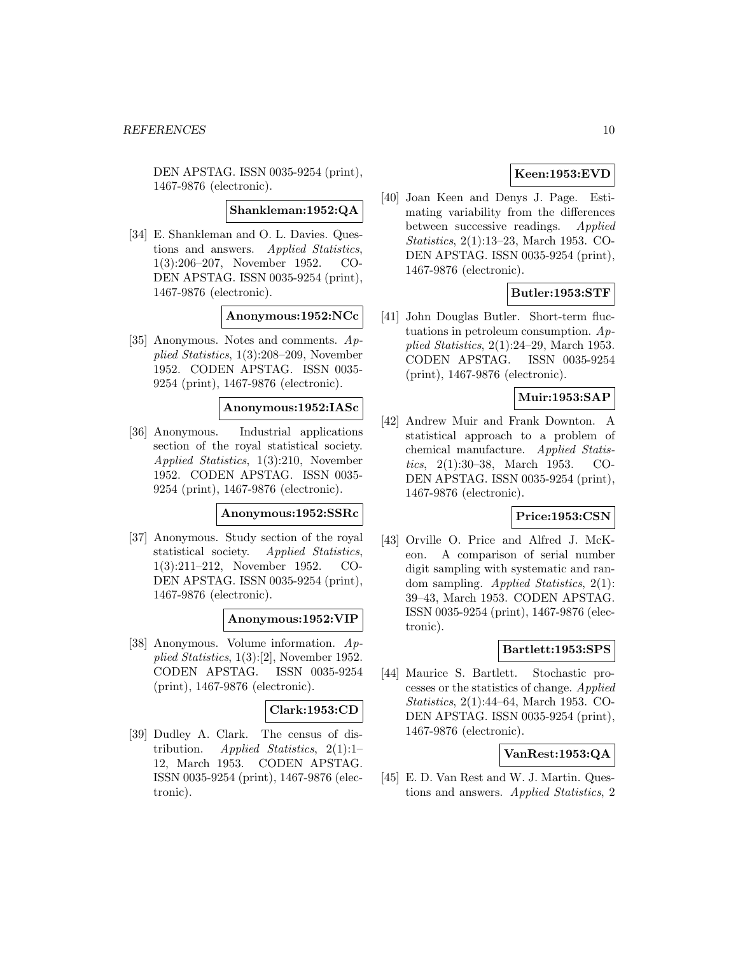DEN APSTAG. ISSN 0035-9254 (print), 1467-9876 (electronic).

#### **Shankleman:1952:QA**

[34] E. Shankleman and O. L. Davies. Questions and answers. Applied Statistics, 1(3):206–207, November 1952. CO-DEN APSTAG. ISSN 0035-9254 (print), 1467-9876 (electronic).

**Anonymous:1952:NCc**

[35] Anonymous. Notes and comments. Applied Statistics, 1(3):208–209, November 1952. CODEN APSTAG. ISSN 0035- 9254 (print), 1467-9876 (electronic).

#### **Anonymous:1952:IASc**

[36] Anonymous. Industrial applications section of the royal statistical society. Applied Statistics, 1(3):210, November 1952. CODEN APSTAG. ISSN 0035- 9254 (print), 1467-9876 (electronic).

#### **Anonymous:1952:SSRc**

[37] Anonymous. Study section of the royal statistical society. Applied Statistics, 1(3):211–212, November 1952. CO-DEN APSTAG. ISSN 0035-9254 (print), 1467-9876 (electronic).

### **Anonymous:1952:VIP**

[38] Anonymous. Volume information. Applied Statistics, 1(3):[2], November 1952. CODEN APSTAG. ISSN 0035-9254 (print), 1467-9876 (electronic).

### **Clark:1953:CD**

[39] Dudley A. Clark. The census of distribution. Applied Statistics,  $2(1):1$ 12, March 1953. CODEN APSTAG. ISSN 0035-9254 (print), 1467-9876 (electronic).

# **Keen:1953:EVD**

[40] Joan Keen and Denys J. Page. Estimating variability from the differences between successive readings. Applied Statistics, 2(1):13–23, March 1953. CO-DEN APSTAG. ISSN 0035-9254 (print), 1467-9876 (electronic).

### **Butler:1953:STF**

[41] John Douglas Butler. Short-term fluctuations in petroleum consumption.  $Ap$ plied Statistics, 2(1):24–29, March 1953. CODEN APSTAG. ISSN 0035-9254 (print), 1467-9876 (electronic).

# **Muir:1953:SAP**

[42] Andrew Muir and Frank Downton. A statistical approach to a problem of chemical manufacture. Applied Statistics, 2(1):30–38, March 1953. CO-DEN APSTAG. ISSN 0035-9254 (print), 1467-9876 (electronic).

# **Price:1953:CSN**

[43] Orville O. Price and Alfred J. McKeon. A comparison of serial number digit sampling with systematic and random sampling. Applied Statistics, 2(1): 39–43, March 1953. CODEN APSTAG. ISSN 0035-9254 (print), 1467-9876 (electronic).

# **Bartlett:1953:SPS**

[44] Maurice S. Bartlett. Stochastic processes or the statistics of change. Applied Statistics, 2(1):44–64, March 1953. CO-DEN APSTAG. ISSN 0035-9254 (print), 1467-9876 (electronic).

### **VanRest:1953:QA**

[45] E. D. Van Rest and W. J. Martin. Questions and answers. Applied Statistics, 2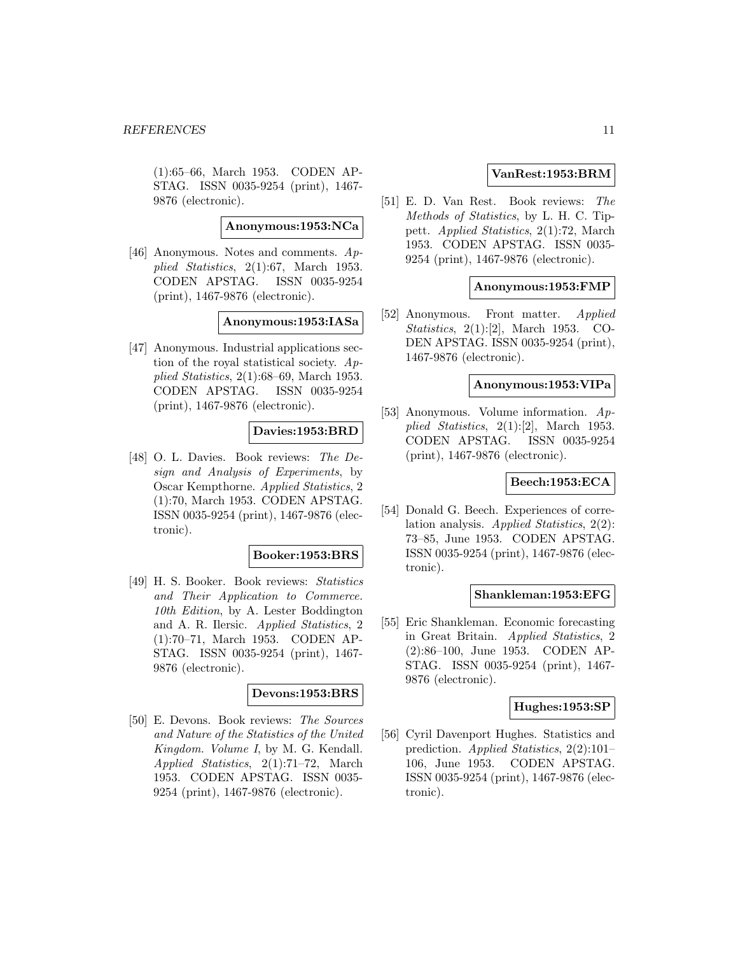(1):65–66, March 1953. CODEN AP-STAG. ISSN 0035-9254 (print), 1467- 9876 (electronic).

**Anonymous:1953:NCa**

[46] Anonymous. Notes and comments. Applied Statistics, 2(1):67, March 1953. CODEN APSTAG. ISSN 0035-9254 (print), 1467-9876 (electronic).

### **Anonymous:1953:IASa**

[47] Anonymous. Industrial applications section of the royal statistical society. Applied Statistics, 2(1):68–69, March 1953. CODEN APSTAG. ISSN 0035-9254 (print), 1467-9876 (electronic).

# **Davies:1953:BRD**

[48] O. L. Davies. Book reviews: The Design and Analysis of Experiments, by Oscar Kempthorne. Applied Statistics, 2 (1):70, March 1953. CODEN APSTAG. ISSN 0035-9254 (print), 1467-9876 (electronic).

### **Booker:1953:BRS**

[49] H. S. Booker. Book reviews: Statistics and Their Application to Commerce. 10th Edition, by A. Lester Boddington and A. R. Ilersic. Applied Statistics, 2 (1):70–71, March 1953. CODEN AP-STAG. ISSN 0035-9254 (print), 1467- 9876 (electronic).

### **Devons:1953:BRS**

[50] E. Devons. Book reviews: The Sources and Nature of the Statistics of the United Kingdom. Volume I, by M. G. Kendall. Applied Statistics, 2(1):71–72, March 1953. CODEN APSTAG. ISSN 0035- 9254 (print), 1467-9876 (electronic).

### **VanRest:1953:BRM**

[51] E. D. Van Rest. Book reviews: The Methods of Statistics, by L. H. C. Tippett. Applied Statistics, 2(1):72, March 1953. CODEN APSTAG. ISSN 0035- 9254 (print), 1467-9876 (electronic).

#### **Anonymous:1953:FMP**

[52] Anonymous. Front matter. Applied Statistics, 2(1):[2], March 1953. CO-DEN APSTAG. ISSN 0035-9254 (print), 1467-9876 (electronic).

#### **Anonymous:1953:VIPa**

[53] Anonymous. Volume information. Applied Statistics, 2(1):[2], March 1953. CODEN APSTAG. ISSN 0035-9254 (print), 1467-9876 (electronic).

### **Beech:1953:ECA**

[54] Donald G. Beech. Experiences of correlation analysis. Applied Statistics, 2(2): 73–85, June 1953. CODEN APSTAG. ISSN 0035-9254 (print), 1467-9876 (electronic).

#### **Shankleman:1953:EFG**

[55] Eric Shankleman. Economic forecasting in Great Britain. Applied Statistics, 2 (2):86–100, June 1953. CODEN AP-STAG. ISSN 0035-9254 (print), 1467- 9876 (electronic).

#### **Hughes:1953:SP**

[56] Cyril Davenport Hughes. Statistics and prediction. Applied Statistics, 2(2):101– 106, June 1953. CODEN APSTAG. ISSN 0035-9254 (print), 1467-9876 (electronic).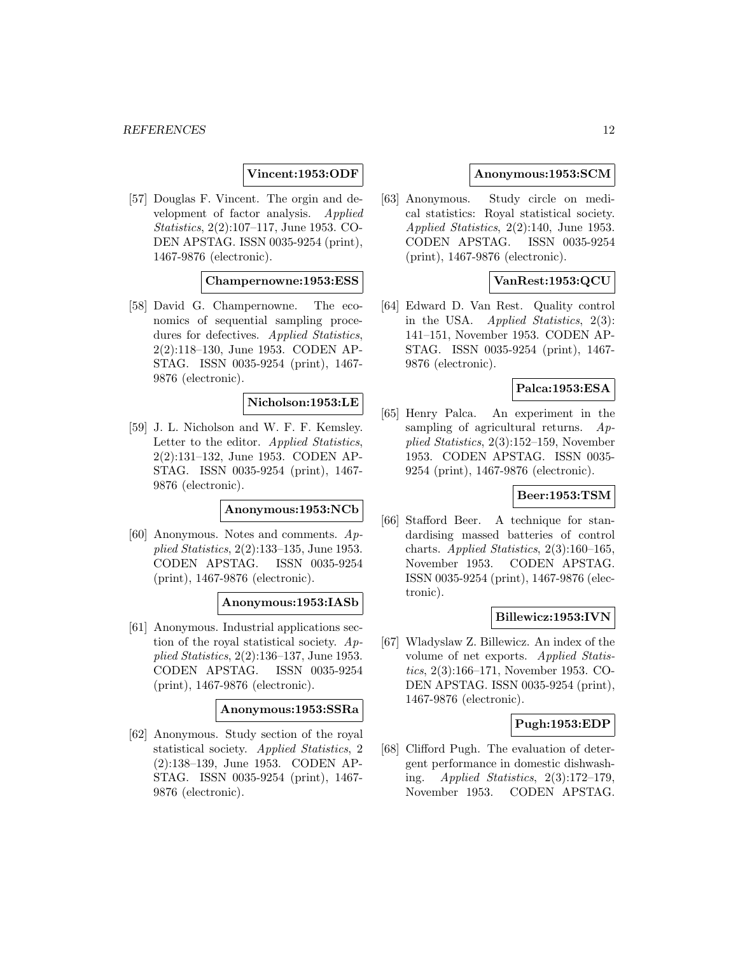# **Vincent:1953:ODF**

[57] Douglas F. Vincent. The orgin and development of factor analysis. Applied Statistics, 2(2):107–117, June 1953. CO-DEN APSTAG. ISSN 0035-9254 (print), 1467-9876 (electronic).

# **Champernowne:1953:ESS**

[58] David G. Champernowne. The economics of sequential sampling procedures for defectives. Applied Statistics, 2(2):118–130, June 1953. CODEN AP-STAG. ISSN 0035-9254 (print), 1467- 9876 (electronic).

#### **Nicholson:1953:LE**

[59] J. L. Nicholson and W. F. F. Kemsley. Letter to the editor. Applied Statistics, 2(2):131–132, June 1953. CODEN AP-STAG. ISSN 0035-9254 (print), 1467- 9876 (electronic).

### **Anonymous:1953:NCb**

[60] Anonymous. Notes and comments. Applied Statistics, 2(2):133–135, June 1953. CODEN APSTAG. ISSN 0035-9254 (print), 1467-9876 (electronic).

### **Anonymous:1953:IASb**

[61] Anonymous. Industrial applications section of the royal statistical society.  $Ap$ plied Statistics, 2(2):136–137, June 1953. CODEN APSTAG. ISSN 0035-9254 (print), 1467-9876 (electronic).

#### **Anonymous:1953:SSRa**

[62] Anonymous. Study section of the royal statistical society. Applied Statistics, 2 (2):138–139, June 1953. CODEN AP-STAG. ISSN 0035-9254 (print), 1467- 9876 (electronic).

#### **Anonymous:1953:SCM**

[63] Anonymous. Study circle on medical statistics: Royal statistical society. Applied Statistics, 2(2):140, June 1953. CODEN APSTAG. ISSN 0035-9254 (print), 1467-9876 (electronic).

### **VanRest:1953:QCU**

[64] Edward D. Van Rest. Quality control in the USA. Applied Statistics, 2(3): 141–151, November 1953. CODEN AP-STAG. ISSN 0035-9254 (print), 1467- 9876 (electronic).

### **Palca:1953:ESA**

[65] Henry Palca. An experiment in the sampling of agricultural returns.  $Ap$ plied Statistics, 2(3):152–159, November 1953. CODEN APSTAG. ISSN 0035- 9254 (print), 1467-9876 (electronic).

# **Beer:1953:TSM**

[66] Stafford Beer. A technique for standardising massed batteries of control charts. Applied Statistics,  $2(3):160-165$ , November 1953. CODEN APSTAG. ISSN 0035-9254 (print), 1467-9876 (electronic).

### **Billewicz:1953:IVN**

[67] Wladyslaw Z. Billewicz. An index of the volume of net exports. Applied Statistics, 2(3):166–171, November 1953. CO-DEN APSTAG. ISSN 0035-9254 (print), 1467-9876 (electronic).

### **Pugh:1953:EDP**

[68] Clifford Pugh. The evaluation of detergent performance in domestic dishwashing. Applied Statistics, 2(3):172–179, November 1953. CODEN APSTAG.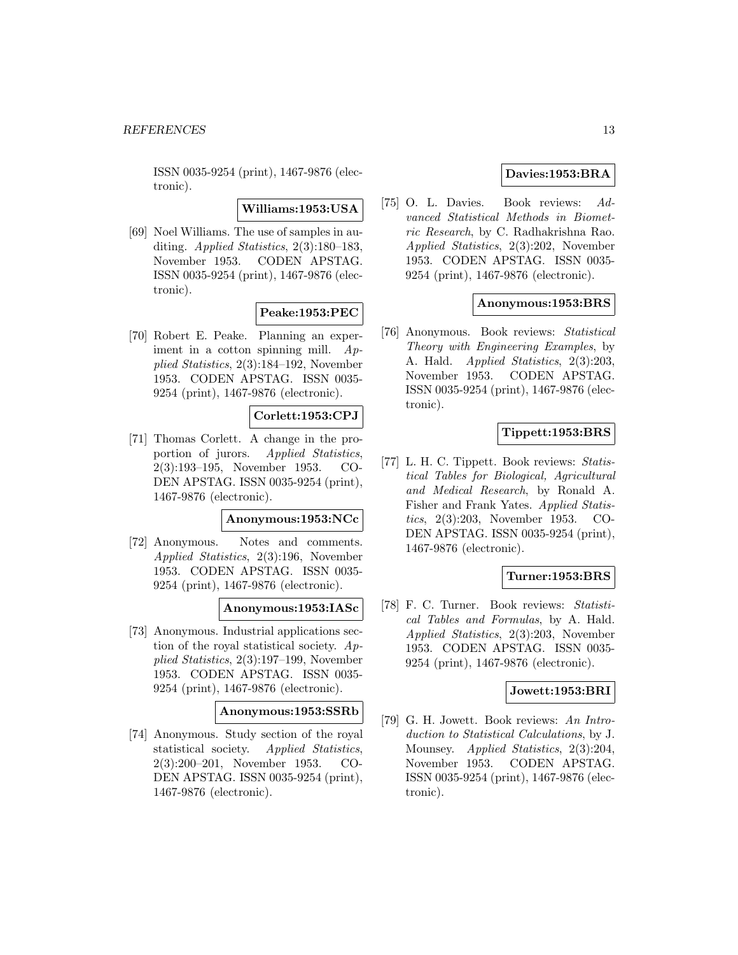ISSN 0035-9254 (print), 1467-9876 (electronic).

**Williams:1953:USA**

[69] Noel Williams. The use of samples in auditing. Applied Statistics, 2(3):180–183, November 1953. CODEN APSTAG. ISSN 0035-9254 (print), 1467-9876 (electronic).

# **Peake:1953:PEC**

[70] Robert E. Peake. Planning an experiment in a cotton spinning mill.  $Ap$ plied Statistics, 2(3):184–192, November 1953. CODEN APSTAG. ISSN 0035- 9254 (print), 1467-9876 (electronic).

# **Corlett:1953:CPJ**

[71] Thomas Corlett. A change in the proportion of jurors. Applied Statistics, 2(3):193–195, November 1953. CO-DEN APSTAG. ISSN 0035-9254 (print), 1467-9876 (electronic).

#### **Anonymous:1953:NCc**

[72] Anonymous. Notes and comments. Applied Statistics, 2(3):196, November 1953. CODEN APSTAG. ISSN 0035- 9254 (print), 1467-9876 (electronic).

### **Anonymous:1953:IASc**

[73] Anonymous. Industrial applications section of the royal statistical society. Applied Statistics, 2(3):197–199, November 1953. CODEN APSTAG. ISSN 0035- 9254 (print), 1467-9876 (electronic).

#### **Anonymous:1953:SSRb**

[74] Anonymous. Study section of the royal statistical society. Applied Statistics, 2(3):200–201, November 1953. CO-DEN APSTAG. ISSN 0035-9254 (print), 1467-9876 (electronic).

# **Davies:1953:BRA**

[75] O. L. Davies. Book reviews: Advanced Statistical Methods in Biometric Research, by C. Radhakrishna Rao. Applied Statistics, 2(3):202, November 1953. CODEN APSTAG. ISSN 0035- 9254 (print), 1467-9876 (electronic).

### **Anonymous:1953:BRS**

[76] Anonymous. Book reviews: Statistical Theory with Engineering Examples, by A. Hald. *Applied Statistics*, 2(3):203, November 1953. CODEN APSTAG. ISSN 0035-9254 (print), 1467-9876 (electronic).

### **Tippett:1953:BRS**

[77] L. H. C. Tippett. Book reviews: Statistical Tables for Biological, Agricultural and Medical Research, by Ronald A. Fisher and Frank Yates. Applied Statistics, 2(3):203, November 1953. CO-DEN APSTAG. ISSN 0035-9254 (print), 1467-9876 (electronic).

# **Turner:1953:BRS**

[78] F. C. Turner. Book reviews: Statistical Tables and Formulas, by A. Hald. Applied Statistics, 2(3):203, November 1953. CODEN APSTAG. ISSN 0035- 9254 (print), 1467-9876 (electronic).

#### **Jowett:1953:BRI**

[79] G. H. Jowett. Book reviews: An Introduction to Statistical Calculations, by J. Mounsey. *Applied Statistics*, 2(3):204, November 1953. CODEN APSTAG. ISSN 0035-9254 (print), 1467-9876 (electronic).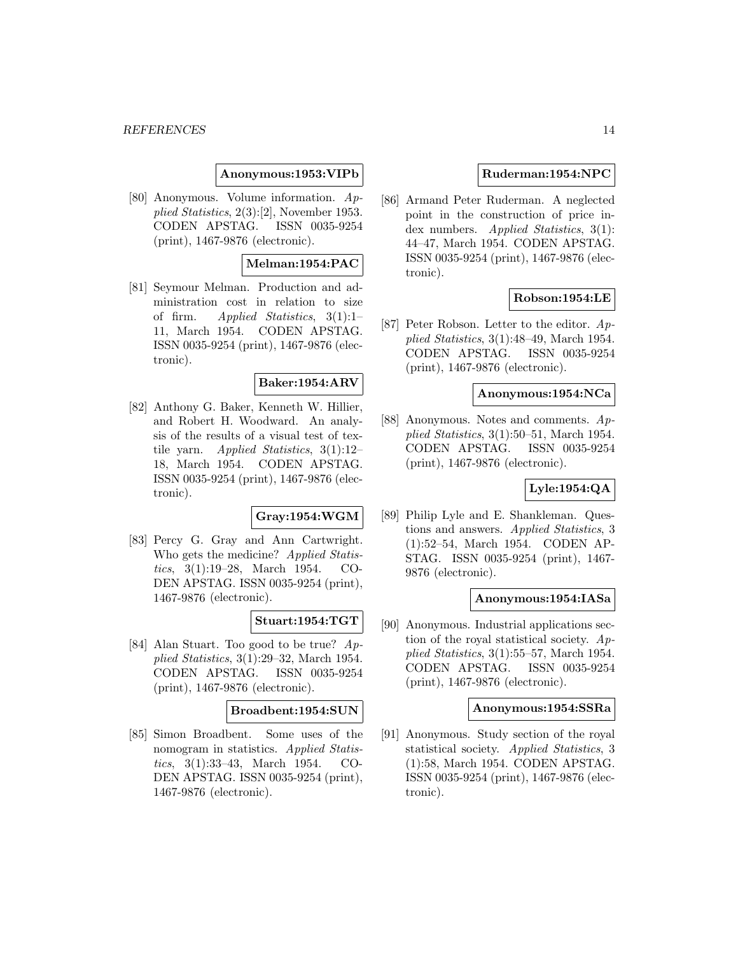#### **Anonymous:1953:VIPb**

[80] Anonymous. Volume information. Applied Statistics, 2(3):[2], November 1953. CODEN APSTAG. ISSN 0035-9254 (print), 1467-9876 (electronic).

# **Melman:1954:PAC**

[81] Seymour Melman. Production and administration cost in relation to size of firm. Applied Statistics, 3(1):1– 11, March 1954. CODEN APSTAG. ISSN 0035-9254 (print), 1467-9876 (electronic).

# **Baker:1954:ARV**

[82] Anthony G. Baker, Kenneth W. Hillier, and Robert H. Woodward. An analysis of the results of a visual test of textile yarn. Applied Statistics, 3(1):12– 18, March 1954. CODEN APSTAG. ISSN 0035-9254 (print), 1467-9876 (electronic).

# **Gray:1954:WGM**

[83] Percy G. Gray and Ann Cartwright. Who gets the medicine? Applied Statistics, 3(1):19–28, March 1954. CO-DEN APSTAG. ISSN 0035-9254 (print), 1467-9876 (electronic).

### **Stuart:1954:TGT**

[84] Alan Stuart. Too good to be true? Applied Statistics, 3(1):29–32, March 1954. CODEN APSTAG. ISSN 0035-9254 (print), 1467-9876 (electronic).

#### **Broadbent:1954:SUN**

[85] Simon Broadbent. Some uses of the nomogram in statistics. Applied Statistics, 3(1):33–43, March 1954. CO-DEN APSTAG. ISSN 0035-9254 (print), 1467-9876 (electronic).

#### **Ruderman:1954:NPC**

[86] Armand Peter Ruderman. A neglected point in the construction of price index numbers. *Applied Statistics*, 3(1): 44–47, March 1954. CODEN APSTAG. ISSN 0035-9254 (print), 1467-9876 (electronic).

### **Robson:1954:LE**

[87] Peter Robson. Letter to the editor. Applied Statistics, 3(1):48–49, March 1954. CODEN APSTAG. ISSN 0035-9254 (print), 1467-9876 (electronic).

#### **Anonymous:1954:NCa**

[88] Anonymous. Notes and comments. Applied Statistics, 3(1):50–51, March 1954. CODEN APSTAG. ISSN 0035-9254 (print), 1467-9876 (electronic).

### **Lyle:1954:QA**

[89] Philip Lyle and E. Shankleman. Questions and answers. Applied Statistics, 3 (1):52–54, March 1954. CODEN AP-STAG. ISSN 0035-9254 (print), 1467- 9876 (electronic).

### **Anonymous:1954:IASa**

[90] Anonymous. Industrial applications section of the royal statistical society. Applied Statistics, 3(1):55–57, March 1954. CODEN APSTAG. ISSN 0035-9254 (print), 1467-9876 (electronic).

#### **Anonymous:1954:SSRa**

[91] Anonymous. Study section of the royal statistical society. Applied Statistics, 3 (1):58, March 1954. CODEN APSTAG. ISSN 0035-9254 (print), 1467-9876 (electronic).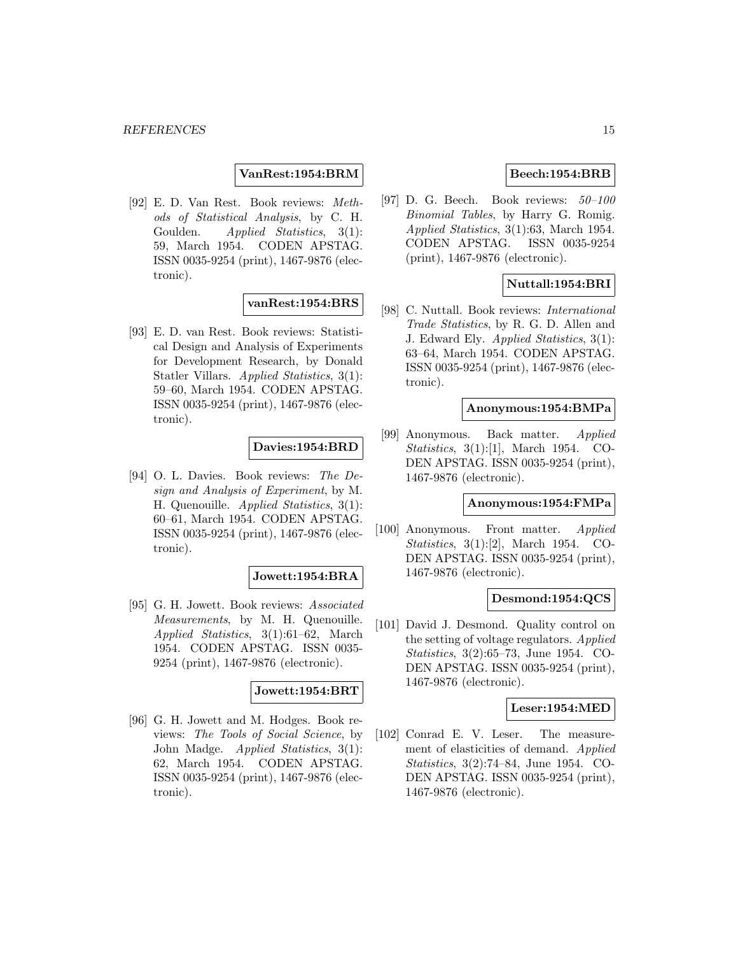# **VanRest:1954:BRM**

[92] E. D. Van Rest. Book reviews: Methods of Statistical Analysis, by C. H. Goulden. Applied Statistics, 3(1): 59, March 1954. CODEN APSTAG. ISSN 0035-9254 (print), 1467-9876 (electronic).

### **vanRest:1954:BRS**

[93] E. D. van Rest. Book reviews: Statistical Design and Analysis of Experiments for Development Research, by Donald Statler Villars. Applied Statistics, 3(1): 59–60, March 1954. CODEN APSTAG. ISSN 0035-9254 (print), 1467-9876 (electronic).

### **Davies:1954:BRD**

[94] O. L. Davies. Book reviews: The Design and Analysis of Experiment, by M. H. Quenouille. Applied Statistics, 3(1): 60–61, March 1954. CODEN APSTAG. ISSN 0035-9254 (print), 1467-9876 (electronic).

# **Jowett:1954:BRA**

[95] G. H. Jowett. Book reviews: Associated Measurements, by M. H. Quenouille. Applied Statistics, 3(1):61–62, March 1954. CODEN APSTAG. ISSN 0035- 9254 (print), 1467-9876 (electronic).

### **Jowett:1954:BRT**

[96] G. H. Jowett and M. Hodges. Book reviews: The Tools of Social Science, by John Madge. Applied Statistics, 3(1): 62, March 1954. CODEN APSTAG. ISSN 0035-9254 (print), 1467-9876 (electronic).

# **Beech:1954:BRB**

[97] D. G. Beech. Book reviews:  $50-100$ Binomial Tables, by Harry G. Romig. Applied Statistics, 3(1):63, March 1954. CODEN APSTAG. ISSN 0035-9254 (print), 1467-9876 (electronic).

### **Nuttall:1954:BRI**

[98] C. Nuttall. Book reviews: International Trade Statistics, by R. G. D. Allen and J. Edward Ely. Applied Statistics, 3(1): 63–64, March 1954. CODEN APSTAG. ISSN 0035-9254 (print), 1467-9876 (electronic).

#### **Anonymous:1954:BMPa**

[99] Anonymous. Back matter. Applied Statistics, 3(1):[1], March 1954. CO-DEN APSTAG. ISSN 0035-9254 (print), 1467-9876 (electronic).

### **Anonymous:1954:FMPa**

[100] Anonymous. Front matter. Applied Statistics, 3(1):[2], March 1954. CO-DEN APSTAG. ISSN 0035-9254 (print), 1467-9876 (electronic).

#### **Desmond:1954:QCS**

[101] David J. Desmond. Quality control on the setting of voltage regulators. Applied Statistics, 3(2):65–73, June 1954. CO-DEN APSTAG. ISSN 0035-9254 (print), 1467-9876 (electronic).

# **Leser:1954:MED**

[102] Conrad E. V. Leser. The measurement of elasticities of demand. Applied Statistics, 3(2):74–84, June 1954. CO-DEN APSTAG. ISSN 0035-9254 (print), 1467-9876 (electronic).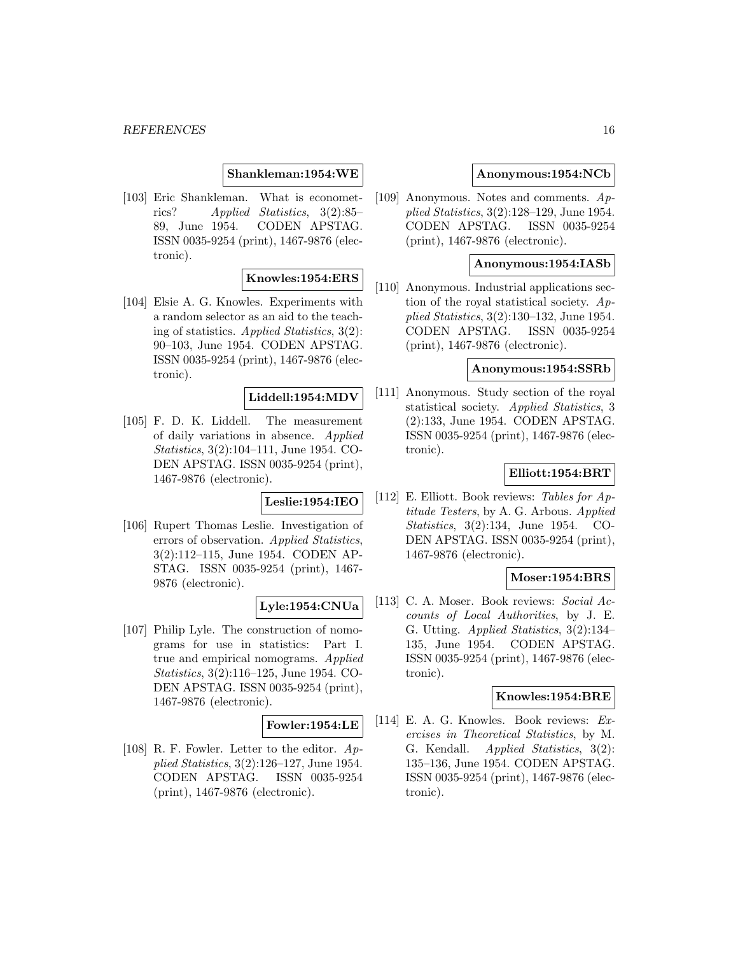#### **Shankleman:1954:WE**

[103] Eric Shankleman. What is econometrics? Applied Statistics, 3(2):85– 89, June 1954. CODEN APSTAG. ISSN 0035-9254 (print), 1467-9876 (electronic).

# **Knowles:1954:ERS**

[104] Elsie A. G. Knowles. Experiments with a random selector as an aid to the teaching of statistics. Applied Statistics, 3(2): 90–103, June 1954. CODEN APSTAG. ISSN 0035-9254 (print), 1467-9876 (electronic).

### **Liddell:1954:MDV**

[105] F. D. K. Liddell. The measurement of daily variations in absence. Applied Statistics, 3(2):104–111, June 1954. CO-DEN APSTAG. ISSN 0035-9254 (print), 1467-9876 (electronic).

#### **Leslie:1954:IEO**

[106] Rupert Thomas Leslie. Investigation of errors of observation. Applied Statistics, 3(2):112–115, June 1954. CODEN AP-STAG. ISSN 0035-9254 (print), 1467- 9876 (electronic).

# **Lyle:1954:CNUa**

[107] Philip Lyle. The construction of nomograms for use in statistics: Part I. true and empirical nomograms. Applied Statistics, 3(2):116–125, June 1954. CO-DEN APSTAG. ISSN 0035-9254 (print), 1467-9876 (electronic).

#### **Fowler:1954:LE**

[108] R. F. Fowler. Letter to the editor. Applied Statistics, 3(2):126–127, June 1954. CODEN APSTAG. ISSN 0035-9254 (print), 1467-9876 (electronic).

#### **Anonymous:1954:NCb**

[109] Anonymous. Notes and comments. Applied Statistics, 3(2):128–129, June 1954. CODEN APSTAG. ISSN 0035-9254 (print), 1467-9876 (electronic).

### **Anonymous:1954:IASb**

[110] Anonymous. Industrial applications section of the royal statistical society. Applied Statistics, 3(2):130–132, June 1954. CODEN APSTAG. ISSN 0035-9254 (print), 1467-9876 (electronic).

#### **Anonymous:1954:SSRb**

[111] Anonymous. Study section of the royal statistical society. Applied Statistics, 3 (2):133, June 1954. CODEN APSTAG. ISSN 0035-9254 (print), 1467-9876 (electronic).

### **Elliott:1954:BRT**

[112] E. Elliott. Book reviews: Tables for Aptitude Testers, by A. G. Arbous. Applied Statistics, 3(2):134, June 1954. CO-DEN APSTAG. ISSN 0035-9254 (print), 1467-9876 (electronic).

#### **Moser:1954:BRS**

[113] C. A. Moser. Book reviews: Social Accounts of Local Authorities, by J. E. G. Utting. Applied Statistics, 3(2):134– 135, June 1954. CODEN APSTAG. ISSN 0035-9254 (print), 1467-9876 (electronic).

#### **Knowles:1954:BRE**

[114] E. A. G. Knowles. Book reviews: Exercises in Theoretical Statistics, by M. G. Kendall. Applied Statistics, 3(2): 135–136, June 1954. CODEN APSTAG. ISSN 0035-9254 (print), 1467-9876 (electronic).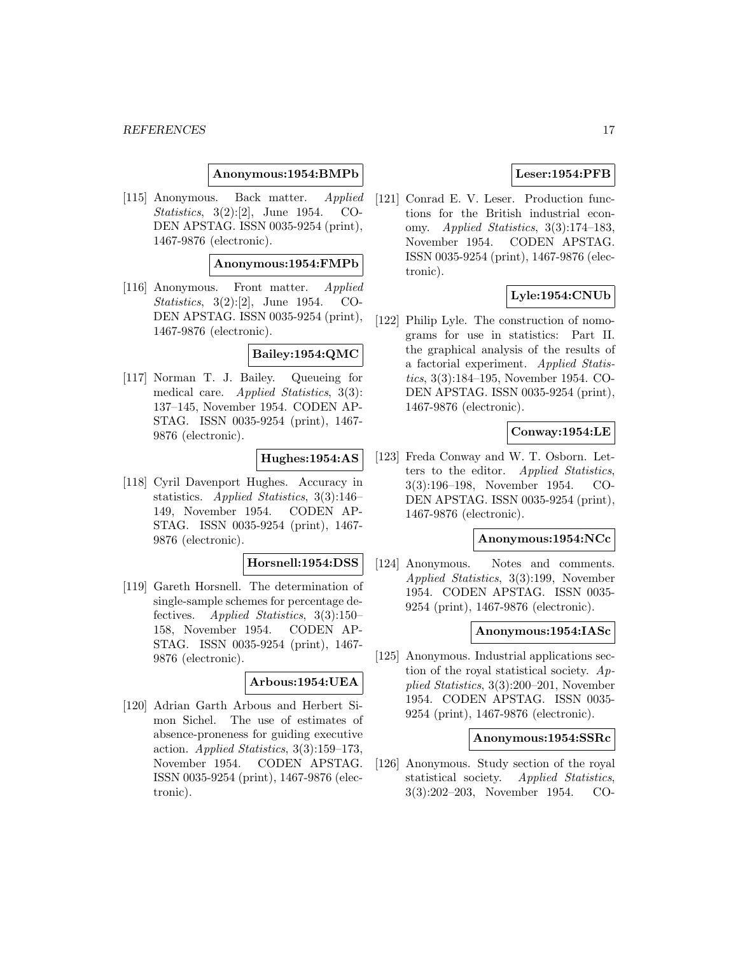#### **Anonymous:1954:BMPb**

[115] Anonymous. Back matter. Applied Statistics, 3(2):[2], June 1954. CO-DEN APSTAG. ISSN 0035-9254 (print), 1467-9876 (electronic).

### **Anonymous:1954:FMPb**

[116] Anonymous. Front matter. Applied Statistics, 3(2):[2], June 1954. CO-DEN APSTAG. ISSN 0035-9254 (print), 1467-9876 (electronic).

### **Bailey:1954:QMC**

[117] Norman T. J. Bailey. Queueing for medical care. Applied Statistics, 3(3): 137–145, November 1954. CODEN AP-STAG. ISSN 0035-9254 (print), 1467- 9876 (electronic).

### **Hughes:1954:AS**

[118] Cyril Davenport Hughes. Accuracy in statistics. Applied Statistics, 3(3):146– 149, November 1954. CODEN AP-STAG. ISSN 0035-9254 (print), 1467- 9876 (electronic).

#### **Horsnell:1954:DSS**

[119] Gareth Horsnell. The determination of single-sample schemes for percentage defectives. Applied Statistics, 3(3):150– 158, November 1954. CODEN AP-STAG. ISSN 0035-9254 (print), 1467- 9876 (electronic).

#### **Arbous:1954:UEA**

[120] Adrian Garth Arbous and Herbert Simon Sichel. The use of estimates of absence-proneness for guiding executive action. Applied Statistics, 3(3):159–173, November 1954. CODEN APSTAG. ISSN 0035-9254 (print), 1467-9876 (electronic).

### **Leser:1954:PFB**

[121] Conrad E. V. Leser. Production functions for the British industrial economy. Applied Statistics, 3(3):174–183, November 1954. CODEN APSTAG. ISSN 0035-9254 (print), 1467-9876 (electronic).

#### **Lyle:1954:CNUb**

[122] Philip Lyle. The construction of nomograms for use in statistics: Part II. the graphical analysis of the results of a factorial experiment. Applied Statistics, 3(3):184–195, November 1954. CO-DEN APSTAG. ISSN 0035-9254 (print), 1467-9876 (electronic).

#### **Conway:1954:LE**

[123] Freda Conway and W. T. Osborn. Letters to the editor. Applied Statistics, 3(3):196–198, November 1954. CO-DEN APSTAG. ISSN 0035-9254 (print), 1467-9876 (electronic).

### **Anonymous:1954:NCc**

[124] Anonymous. Notes and comments. Applied Statistics, 3(3):199, November 1954. CODEN APSTAG. ISSN 0035- 9254 (print), 1467-9876 (electronic).

#### **Anonymous:1954:IASc**

[125] Anonymous. Industrial applications section of the royal statistical society. Applied Statistics, 3(3):200–201, November 1954. CODEN APSTAG. ISSN 0035- 9254 (print), 1467-9876 (electronic).

#### **Anonymous:1954:SSRc**

[126] Anonymous. Study section of the royal statistical society. Applied Statistics, 3(3):202–203, November 1954. CO-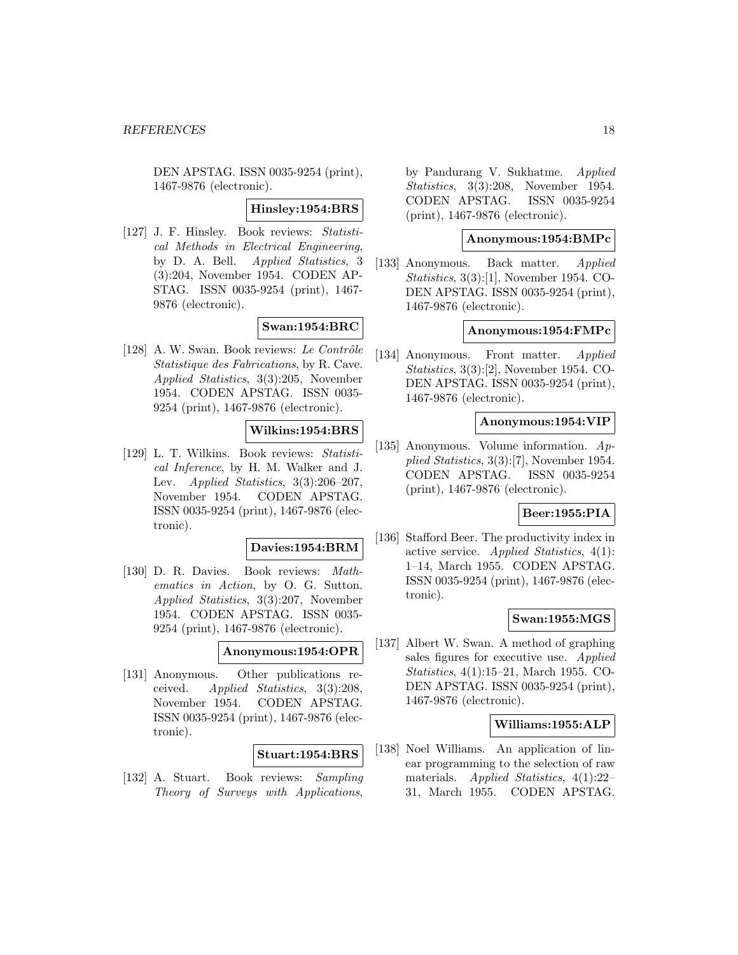DEN APSTAG. ISSN 0035-9254 (print), 1467-9876 (electronic).

#### **Hinsley:1954:BRS**

[127] J. F. Hinsley. Book reviews: Statistical Methods in Electrical Engineering, by D. A. Bell. Applied Statistics, 3 (3):204, November 1954. CODEN AP-STAG. ISSN 0035-9254 (print), 1467- 9876 (electronic).

### **Swan:1954:BRC**

[128] A. W. Swan. Book reviews: Le Contrôle Statistique des Fabrications, by R. Cave. Applied Statistics, 3(3):205, November 1954. CODEN APSTAG. ISSN 0035- 9254 (print), 1467-9876 (electronic).

### **Wilkins:1954:BRS**

[129] L. T. Wilkins. Book reviews: Statistical Inference, by H. M. Walker and J. Lev. Applied Statistics,  $3(3):206-207$ , November 1954. CODEN APSTAG. ISSN 0035-9254 (print), 1467-9876 (electronic).

#### **Davies:1954:BRM**

[130] D. R. Davies. Book reviews: Mathematics in Action, by O. G. Sutton. Applied Statistics, 3(3):207, November 1954. CODEN APSTAG. ISSN 0035- 9254 (print), 1467-9876 (electronic).

#### **Anonymous:1954:OPR**

[131] Anonymous. Other publications received. Applied Statistics, 3(3):208, November 1954. CODEN APSTAG. ISSN 0035-9254 (print), 1467-9876 (electronic).

# **Stuart:1954:BRS**

[132] A. Stuart. Book reviews: Sampling Theory of Surveys with Applications,

by Pandurang V. Sukhatme. Applied Statistics, 3(3):208, November 1954. CODEN APSTAG. ISSN 0035-9254 (print), 1467-9876 (electronic).

# **Anonymous:1954:BMPc**

[133] Anonymous. Back matter. Applied Statistics, 3(3):[1], November 1954. CO-DEN APSTAG. ISSN 0035-9254 (print), 1467-9876 (electronic).

#### **Anonymous:1954:FMPc**

[134] Anonymous. Front matter. *Applied* Statistics, 3(3):[2], November 1954. CO-DEN APSTAG. ISSN 0035-9254 (print), 1467-9876 (electronic).

#### **Anonymous:1954:VIP**

[135] Anonymous. Volume information. Applied Statistics, 3(3):[7], November 1954. CODEN APSTAG. ISSN 0035-9254 (print), 1467-9876 (electronic).

#### **Beer:1955:PIA**

[136] Stafford Beer. The productivity index in active service. Applied Statistics, 4(1): 1–14, March 1955. CODEN APSTAG. ISSN 0035-9254 (print), 1467-9876 (electronic).

#### **Swan:1955:MGS**

[137] Albert W. Swan. A method of graphing sales figures for executive use. Applied Statistics, 4(1):15–21, March 1955. CO-DEN APSTAG. ISSN 0035-9254 (print), 1467-9876 (electronic).

### **Williams:1955:ALP**

[138] Noel Williams. An application of linear programming to the selection of raw materials. Applied Statistics, 4(1):22– 31, March 1955. CODEN APSTAG.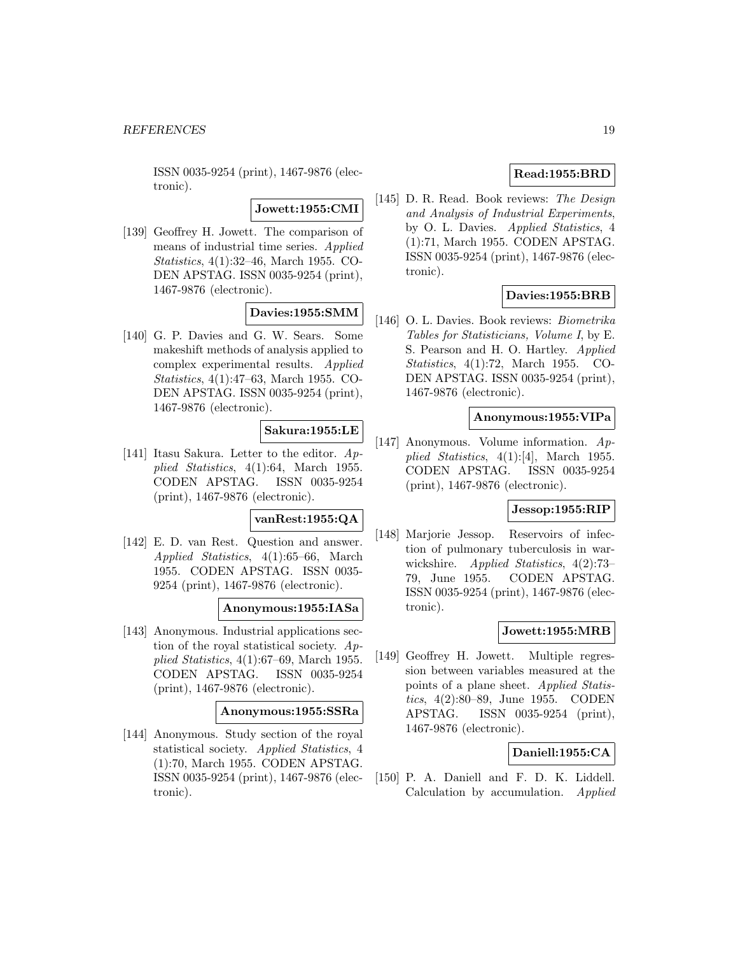ISSN 0035-9254 (print), 1467-9876 (electronic).

**Jowett:1955:CMI**

[139] Geoffrey H. Jowett. The comparison of means of industrial time series. Applied Statistics, 4(1):32–46, March 1955. CO-DEN APSTAG. ISSN 0035-9254 (print), 1467-9876 (electronic).

# **Davies:1955:SMM**

[140] G. P. Davies and G. W. Sears. Some makeshift methods of analysis applied to complex experimental results. Applied Statistics, 4(1):47–63, March 1955. CO-DEN APSTAG. ISSN 0035-9254 (print), 1467-9876 (electronic).

# **Sakura:1955:LE**

[141] Itasu Sakura. Letter to the editor. Applied Statistics, 4(1):64, March 1955. CODEN APSTAG. ISSN 0035-9254 (print), 1467-9876 (electronic).

#### **vanRest:1955:QA**

[142] E. D. van Rest. Question and answer. Applied Statistics, 4(1):65–66, March 1955. CODEN APSTAG. ISSN 0035- 9254 (print), 1467-9876 (electronic).

### **Anonymous:1955:IASa**

[143] Anonymous. Industrial applications section of the royal statistical society. Applied Statistics, 4(1):67–69, March 1955. CODEN APSTAG. ISSN 0035-9254 (print), 1467-9876 (electronic).

#### **Anonymous:1955:SSRa**

[144] Anonymous. Study section of the royal statistical society. Applied Statistics, 4 (1):70, March 1955. CODEN APSTAG. ISSN 0035-9254 (print), 1467-9876 (electronic).

# **Read:1955:BRD**

[145] D. R. Read. Book reviews: The Design and Analysis of Industrial Experiments, by O. L. Davies. Applied Statistics, 4 (1):71, March 1955. CODEN APSTAG. ISSN 0035-9254 (print), 1467-9876 (electronic).

# **Davies:1955:BRB**

[146] O. L. Davies. Book reviews: Biometrika Tables for Statisticians, Volume I, by E. S. Pearson and H. O. Hartley. Applied Statistics, 4(1):72, March 1955. CO-DEN APSTAG. ISSN 0035-9254 (print), 1467-9876 (electronic).

### **Anonymous:1955:VIPa**

[147] Anonymous. Volume information. Applied Statistics, 4(1):[4], March 1955. CODEN APSTAG. ISSN 0035-9254 (print), 1467-9876 (electronic).

# **Jessop:1955:RIP**

[148] Marjorie Jessop. Reservoirs of infection of pulmonary tuberculosis in warwickshire. Applied Statistics, 4(2):73-79, June 1955. CODEN APSTAG. ISSN 0035-9254 (print), 1467-9876 (electronic).

### **Jowett:1955:MRB**

[149] Geoffrey H. Jowett. Multiple regression between variables measured at the points of a plane sheet. Applied Statistics, 4(2):80–89, June 1955. CODEN APSTAG. ISSN 0035-9254 (print), 1467-9876 (electronic).

### **Daniell:1955:CA**

[150] P. A. Daniell and F. D. K. Liddell. Calculation by accumulation. *Applied*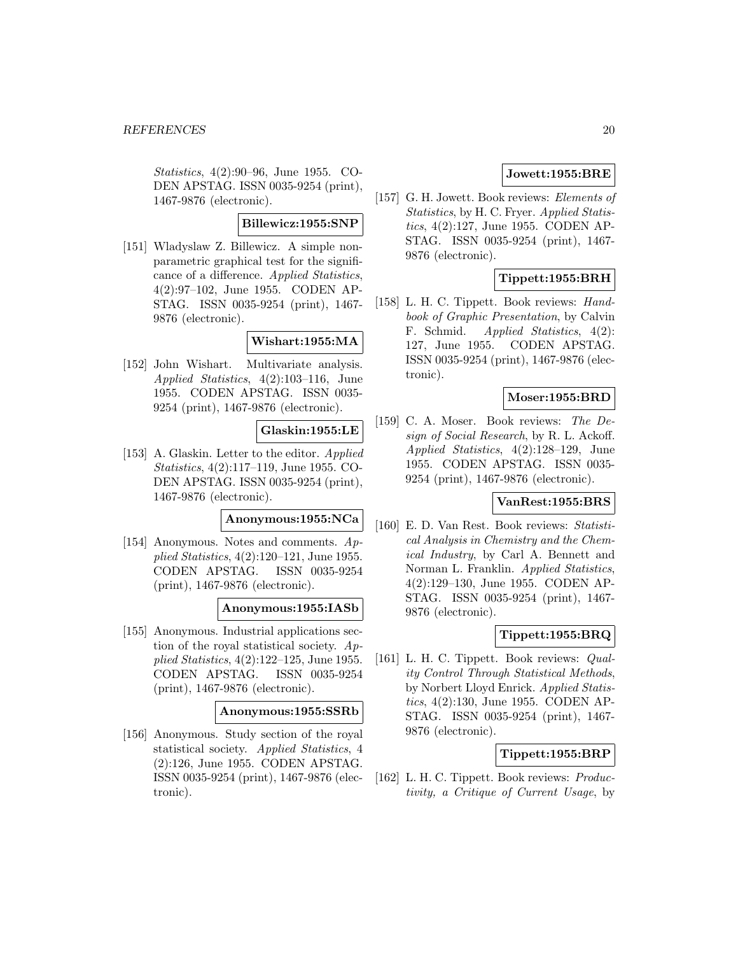Statistics, 4(2):90–96, June 1955. CO-DEN APSTAG. ISSN 0035-9254 (print), 1467-9876 (electronic).

# **Billewicz:1955:SNP**

[151] Wladyslaw Z. Billewicz. A simple nonparametric graphical test for the significance of a difference. Applied Statistics, 4(2):97–102, June 1955. CODEN AP-STAG. ISSN 0035-9254 (print), 1467- 9876 (electronic).

# **Wishart:1955:MA**

[152] John Wishart. Multivariate analysis. Applied Statistics, 4(2):103–116, June 1955. CODEN APSTAG. ISSN 0035- 9254 (print), 1467-9876 (electronic).

# **Glaskin:1955:LE**

[153] A. Glaskin. Letter to the editor. Applied Statistics, 4(2):117–119, June 1955. CO-DEN APSTAG. ISSN 0035-9254 (print), 1467-9876 (electronic).

### **Anonymous:1955:NCa**

[154] Anonymous. Notes and comments. Applied Statistics, 4(2):120–121, June 1955. CODEN APSTAG. ISSN 0035-9254 (print), 1467-9876 (electronic).

### **Anonymous:1955:IASb**

[155] Anonymous. Industrial applications section of the royal statistical society. Applied Statistics, 4(2):122–125, June 1955. CODEN APSTAG. ISSN 0035-9254 (print), 1467-9876 (electronic).

#### **Anonymous:1955:SSRb**

[156] Anonymous. Study section of the royal statistical society. Applied Statistics, 4 (2):126, June 1955. CODEN APSTAG. ISSN 0035-9254 (print), 1467-9876 (electronic).

# **Jowett:1955:BRE**

[157] G. H. Jowett. Book reviews: Elements of Statistics, by H. C. Fryer. Applied Statistics, 4(2):127, June 1955. CODEN AP-STAG. ISSN 0035-9254 (print), 1467- 9876 (electronic).

# **Tippett:1955:BRH**

[158] L. H. C. Tippett. Book reviews: Handbook of Graphic Presentation, by Calvin F. Schmid. *Applied Statistics*, 4(2): 127, June 1955. CODEN APSTAG. ISSN 0035-9254 (print), 1467-9876 (electronic).

#### **Moser:1955:BRD**

[159] C. A. Moser. Book reviews: The Design of Social Research, by R. L. Ackoff. Applied Statistics, 4(2):128–129, June 1955. CODEN APSTAG. ISSN 0035- 9254 (print), 1467-9876 (electronic).

# **VanRest:1955:BRS**

[160] E. D. Van Rest. Book reviews: Statistical Analysis in Chemistry and the Chemical Industry, by Carl A. Bennett and Norman L. Franklin. Applied Statistics, 4(2):129–130, June 1955. CODEN AP-STAG. ISSN 0035-9254 (print), 1467- 9876 (electronic).

# **Tippett:1955:BRQ**

[161] L. H. C. Tippett. Book reviews: *Qual*ity Control Through Statistical Methods, by Norbert Lloyd Enrick. Applied Statistics, 4(2):130, June 1955. CODEN AP-STAG. ISSN 0035-9254 (print), 1467- 9876 (electronic).

### **Tippett:1955:BRP**

[162] L. H. C. Tippett. Book reviews: Productivity, a Critique of Current Usage, by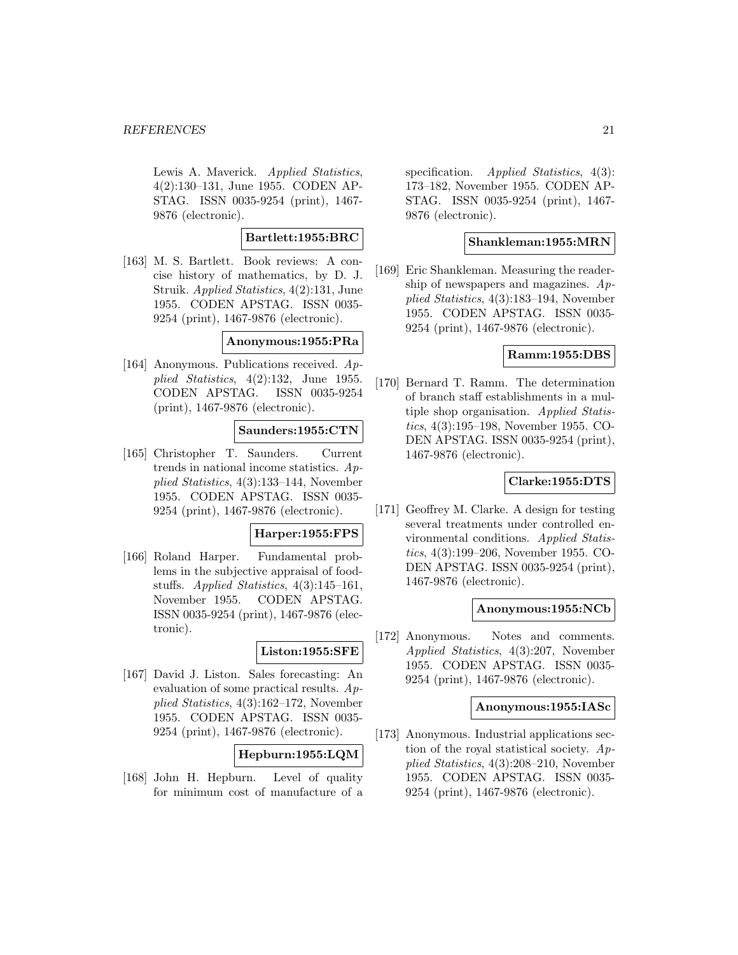Lewis A. Maverick. Applied Statistics, 4(2):130–131, June 1955. CODEN AP-STAG. ISSN 0035-9254 (print), 1467- 9876 (electronic).

### **Bartlett:1955:BRC**

[163] M. S. Bartlett. Book reviews: A concise history of mathematics, by D. J. Struik. Applied Statistics, 4(2):131, June 1955. CODEN APSTAG. ISSN 0035- 9254 (print), 1467-9876 (electronic).

**Anonymous:1955:PRa**

[164] Anonymous. Publications received. Applied Statistics, 4(2):132, June 1955. CODEN APSTAG. ISSN 0035-9254 (print), 1467-9876 (electronic).

#### **Saunders:1955:CTN**

[165] Christopher T. Saunders. Current trends in national income statistics. Applied Statistics, 4(3):133–144, November 1955. CODEN APSTAG. ISSN 0035- 9254 (print), 1467-9876 (electronic).

### **Harper:1955:FPS**

[166] Roland Harper. Fundamental problems in the subjective appraisal of foodstuffs. Applied Statistics, 4(3):145–161, November 1955. CODEN APSTAG. ISSN 0035-9254 (print), 1467-9876 (electronic).

### **Liston:1955:SFE**

[167] David J. Liston. Sales forecasting: An evaluation of some practical results. Applied Statistics, 4(3):162–172, November 1955. CODEN APSTAG. ISSN 0035- 9254 (print), 1467-9876 (electronic).

# **Hepburn:1955:LQM**

[168] John H. Hepburn. Level of quality for minimum cost of manufacture of a

specification. Applied Statistics, 4(3): 173–182, November 1955. CODEN AP-STAG. ISSN 0035-9254 (print), 1467- 9876 (electronic).

### **Shankleman:1955:MRN**

[169] Eric Shankleman. Measuring the readership of newspapers and magazines. Applied Statistics, 4(3):183–194, November 1955. CODEN APSTAG. ISSN 0035- 9254 (print), 1467-9876 (electronic).

### **Ramm:1955:DBS**

[170] Bernard T. Ramm. The determination of branch staff establishments in a multiple shop organisation. Applied Statistics, 4(3):195–198, November 1955. CO-DEN APSTAG. ISSN 0035-9254 (print), 1467-9876 (electronic).

# **Clarke:1955:DTS**

[171] Geoffrey M. Clarke. A design for testing several treatments under controlled environmental conditions. Applied Statistics, 4(3):199–206, November 1955. CO-DEN APSTAG. ISSN 0035-9254 (print), 1467-9876 (electronic).

#### **Anonymous:1955:NCb**

[172] Anonymous. Notes and comments. Applied Statistics, 4(3):207, November 1955. CODEN APSTAG. ISSN 0035- 9254 (print), 1467-9876 (electronic).

#### **Anonymous:1955:IASc**

[173] Anonymous. Industrial applications section of the royal statistical society. Applied Statistics, 4(3):208–210, November 1955. CODEN APSTAG. ISSN 0035- 9254 (print), 1467-9876 (electronic).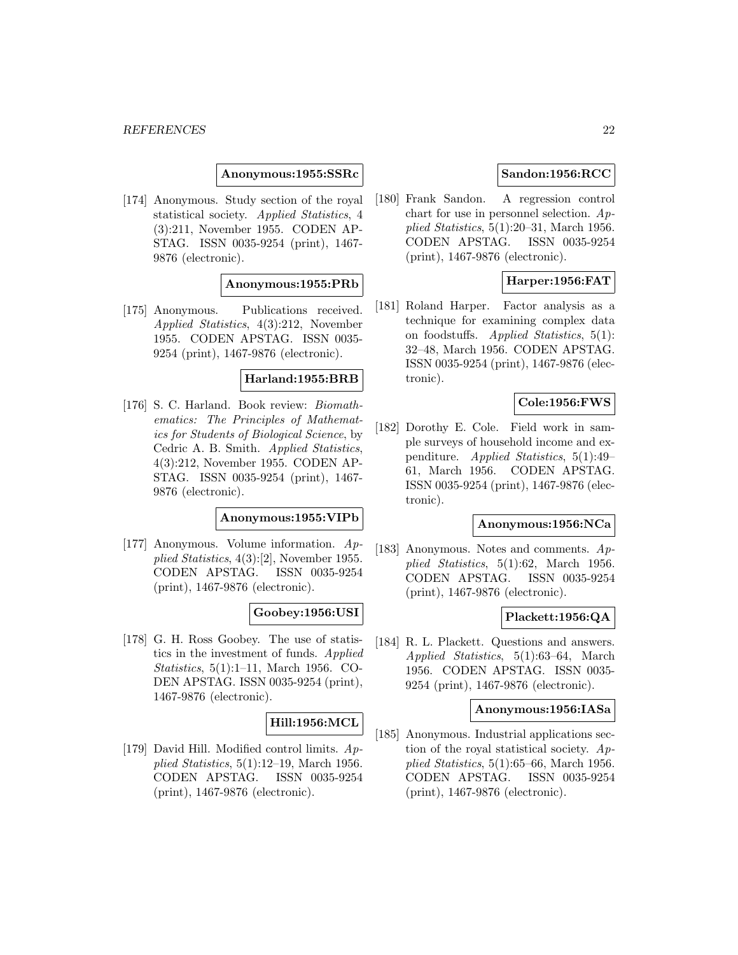#### **Anonymous:1955:SSRc**

[174] Anonymous. Study section of the royal statistical society. Applied Statistics, 4 (3):211, November 1955. CODEN AP-STAG. ISSN 0035-9254 (print), 1467- 9876 (electronic).

### **Anonymous:1955:PRb**

[175] Anonymous. Publications received. Applied Statistics, 4(3):212, November 1955. CODEN APSTAG. ISSN 0035- 9254 (print), 1467-9876 (electronic).

# **Harland:1955:BRB**

[176] S. C. Harland. Book review: Biomathematics: The Principles of Mathematics for Students of Biological Science, by Cedric A. B. Smith. Applied Statistics, 4(3):212, November 1955. CODEN AP-STAG. ISSN 0035-9254 (print), 1467- 9876 (electronic).

### **Anonymous:1955:VIPb**

[177] Anonymous. Volume information. Applied Statistics, 4(3):[2], November 1955. CODEN APSTAG. ISSN 0035-9254 (print), 1467-9876 (electronic).

### **Goobey:1956:USI**

[178] G. H. Ross Goobey. The use of statistics in the investment of funds. Applied Statistics, 5(1):1–11, March 1956. CO-DEN APSTAG. ISSN 0035-9254 (print), 1467-9876 (electronic).

#### **Hill:1956:MCL**

[179] David Hill. Modified control limits. Applied Statistics, 5(1):12–19, March 1956. CODEN APSTAG. ISSN 0035-9254 (print), 1467-9876 (electronic).

# **Sandon:1956:RCC**

[180] Frank Sandon. A regression control chart for use in personnel selection. Applied Statistics, 5(1):20–31, March 1956. CODEN APSTAG. ISSN 0035-9254 (print), 1467-9876 (electronic).

### **Harper:1956:FAT**

[181] Roland Harper. Factor analysis as a technique for examining complex data on foodstuffs. Applied Statistics, 5(1): 32–48, March 1956. CODEN APSTAG. ISSN 0035-9254 (print), 1467-9876 (electronic).

#### **Cole:1956:FWS**

[182] Dorothy E. Cole. Field work in sample surveys of household income and expenditure. Applied Statistics, 5(1):49– 61, March 1956. CODEN APSTAG. ISSN 0035-9254 (print), 1467-9876 (electronic).

### **Anonymous:1956:NCa**

[183] Anonymous. Notes and comments.  $Ap$ plied Statistics, 5(1):62, March 1956. CODEN APSTAG. ISSN 0035-9254 (print), 1467-9876 (electronic).

# **Plackett:1956:QA**

[184] R. L. Plackett. Questions and answers. Applied Statistics, 5(1):63–64, March 1956. CODEN APSTAG. ISSN 0035- 9254 (print), 1467-9876 (electronic).

#### **Anonymous:1956:IASa**

[185] Anonymous. Industrial applications section of the royal statistical society. Applied Statistics, 5(1):65–66, March 1956. CODEN APSTAG. ISSN 0035-9254 (print), 1467-9876 (electronic).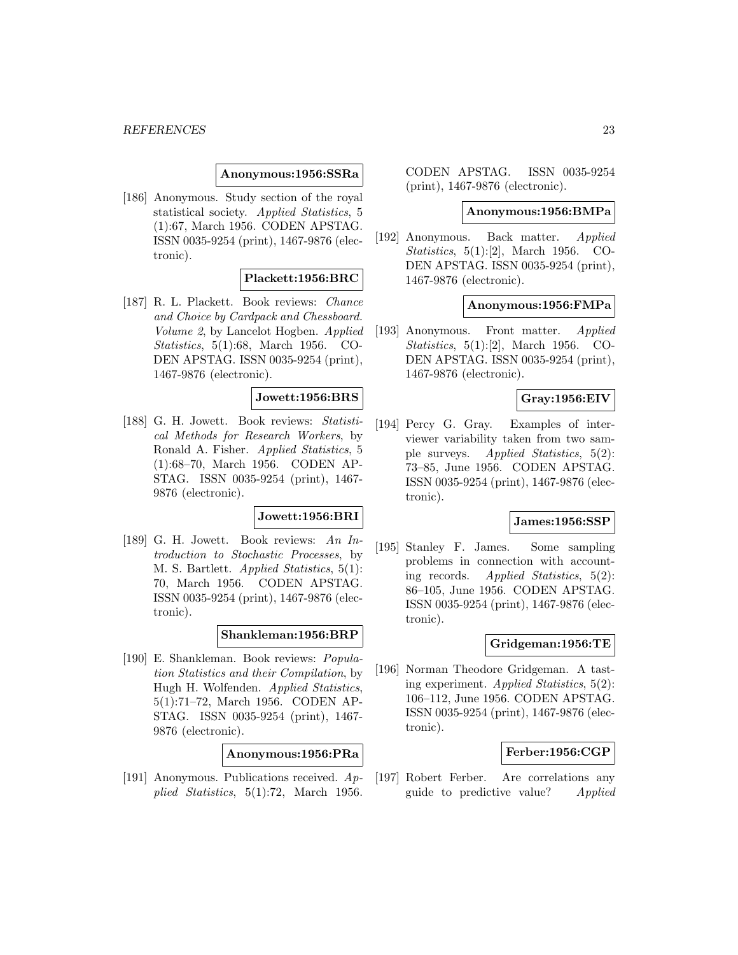#### **Anonymous:1956:SSRa**

[186] Anonymous. Study section of the royal statistical society. Applied Statistics, 5 (1):67, March 1956. CODEN APSTAG. ISSN 0035-9254 (print), 1467-9876 (electronic).

### **Plackett:1956:BRC**

[187] R. L. Plackett. Book reviews: Chance and Choice by Cardpack and Chessboard. Volume 2, by Lancelot Hogben. Applied Statistics, 5(1):68, March 1956. CO-DEN APSTAG. ISSN 0035-9254 (print), 1467-9876 (electronic).

# **Jowett:1956:BRS**

[188] G. H. Jowett. Book reviews: Statistical Methods for Research Workers, by Ronald A. Fisher. Applied Statistics, 5 (1):68–70, March 1956. CODEN AP-STAG. ISSN 0035-9254 (print), 1467- 9876 (electronic).

# **Jowett:1956:BRI**

[189] G. H. Jowett. Book reviews: An Introduction to Stochastic Processes, by M. S. Bartlett. Applied Statistics, 5(1): 70, March 1956. CODEN APSTAG. ISSN 0035-9254 (print), 1467-9876 (electronic).

### **Shankleman:1956:BRP**

[190] E. Shankleman. Book reviews: Population Statistics and their Compilation, by Hugh H. Wolfenden. Applied Statistics, 5(1):71–72, March 1956. CODEN AP-STAG. ISSN 0035-9254 (print), 1467- 9876 (electronic).

#### **Anonymous:1956:PRa**

[191] Anonymous. Publications received. Applied Statistics, 5(1):72, March 1956.

CODEN APSTAG. ISSN 0035-9254 (print), 1467-9876 (electronic).

#### **Anonymous:1956:BMPa**

[192] Anonymous. Back matter. Applied Statistics, 5(1):[2], March 1956. CO-DEN APSTAG. ISSN 0035-9254 (print), 1467-9876 (electronic).

#### **Anonymous:1956:FMPa**

[193] Anonymous. Front matter. Applied Statistics, 5(1):[2], March 1956. CO-DEN APSTAG. ISSN 0035-9254 (print), 1467-9876 (electronic).

# **Gray:1956:EIV**

[194] Percy G. Gray. Examples of interviewer variability taken from two sample surveys. Applied Statistics, 5(2): 73–85, June 1956. CODEN APSTAG. ISSN 0035-9254 (print), 1467-9876 (electronic).

#### **James:1956:SSP**

[195] Stanley F. James. Some sampling problems in connection with accounting records. Applied Statistics, 5(2): 86–105, June 1956. CODEN APSTAG. ISSN 0035-9254 (print), 1467-9876 (electronic).

#### **Gridgeman:1956:TE**

[196] Norman Theodore Gridgeman. A tasting experiment. Applied Statistics, 5(2): 106–112, June 1956. CODEN APSTAG. ISSN 0035-9254 (print), 1467-9876 (electronic).

#### **Ferber:1956:CGP**

[197] Robert Ferber. Are correlations any guide to predictive value? Applied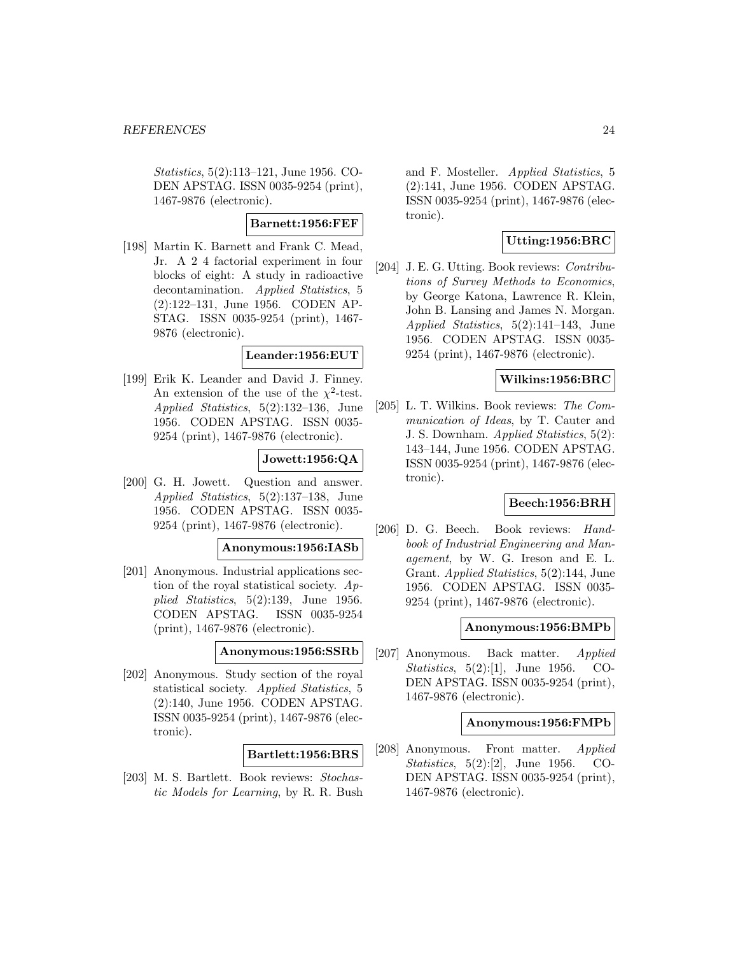Statistics, 5(2):113–121, June 1956. CO-DEN APSTAG. ISSN 0035-9254 (print), 1467-9876 (electronic).

### **Barnett:1956:FEF**

[198] Martin K. Barnett and Frank C. Mead, Jr. A 2 4 factorial experiment in four blocks of eight: A study in radioactive decontamination. Applied Statistics, 5 (2):122–131, June 1956. CODEN AP-STAG. ISSN 0035-9254 (print), 1467- 9876 (electronic).

#### **Leander:1956:EUT**

[199] Erik K. Leander and David J. Finney. An extension of the use of the  $\chi^2$ -test. Applied Statistics, 5(2):132–136, June 1956. CODEN APSTAG. ISSN 0035- 9254 (print), 1467-9876 (electronic).

### **Jowett:1956:QA**

[200] G. H. Jowett. Question and answer. Applied Statistics, 5(2):137–138, June 1956. CODEN APSTAG. ISSN 0035- 9254 (print), 1467-9876 (electronic).

#### **Anonymous:1956:IASb**

[201] Anonymous. Industrial applications section of the royal statistical society. Applied Statistics, 5(2):139, June 1956. CODEN APSTAG. ISSN 0035-9254 (print), 1467-9876 (electronic).

#### **Anonymous:1956:SSRb**

[202] Anonymous. Study section of the royal statistical society. Applied Statistics, 5 (2):140, June 1956. CODEN APSTAG. ISSN 0035-9254 (print), 1467-9876 (electronic).

### **Bartlett:1956:BRS**

[203] M. S. Bartlett. Book reviews: Stochastic Models for Learning, by R. R. Bush and F. Mosteller. Applied Statistics, 5 (2):141, June 1956. CODEN APSTAG. ISSN 0035-9254 (print), 1467-9876 (electronic).

### **Utting:1956:BRC**

[204] J. E. G. Utting. Book reviews: *Contribu*tions of Survey Methods to Economics, by George Katona, Lawrence R. Klein, John B. Lansing and James N. Morgan. Applied Statistics, 5(2):141–143, June 1956. CODEN APSTAG. ISSN 0035- 9254 (print), 1467-9876 (electronic).

# **Wilkins:1956:BRC**

[205] L. T. Wilkins. Book reviews: The Communication of Ideas, by T. Cauter and J. S. Downham. Applied Statistics, 5(2): 143–144, June 1956. CODEN APSTAG. ISSN 0035-9254 (print), 1467-9876 (electronic).

# **Beech:1956:BRH**

[206] D. G. Beech. Book reviews: Handbook of Industrial Engineering and Management, by W. G. Ireson and E. L. Grant. Applied Statistics, 5(2):144, June 1956. CODEN APSTAG. ISSN 0035- 9254 (print), 1467-9876 (electronic).

#### **Anonymous:1956:BMPb**

[207] Anonymous. Back matter. Applied Statistics, 5(2):[1], June 1956. CO-DEN APSTAG. ISSN 0035-9254 (print), 1467-9876 (electronic).

#### **Anonymous:1956:FMPb**

[208] Anonymous. Front matter. Applied Statistics, 5(2):[2], June 1956. CO-DEN APSTAG. ISSN 0035-9254 (print), 1467-9876 (electronic).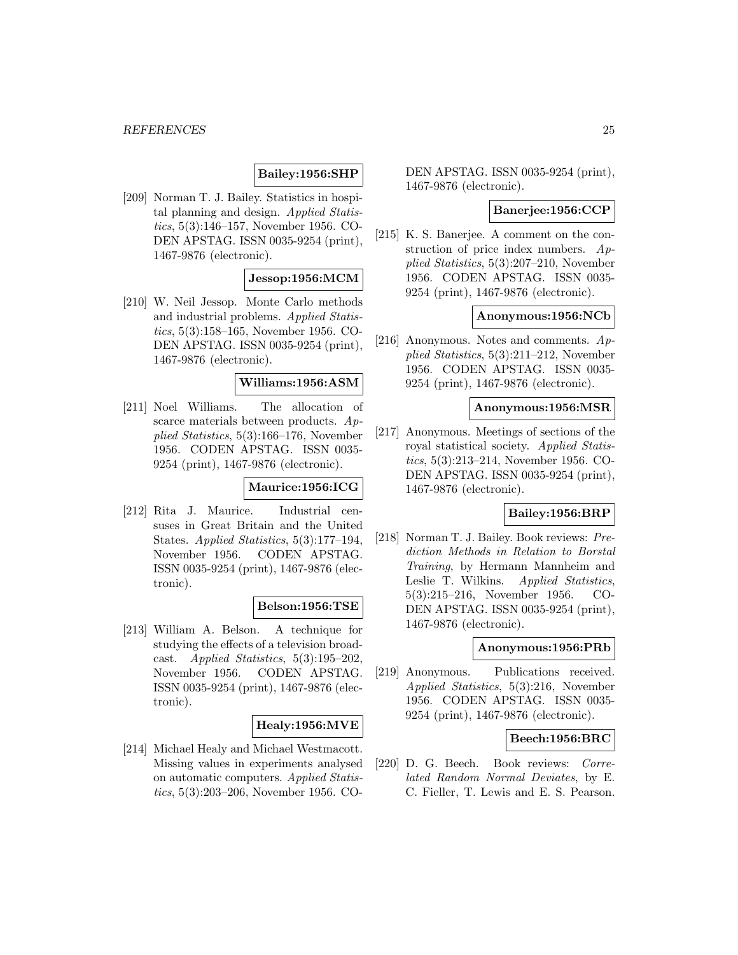# **Bailey:1956:SHP**

[209] Norman T. J. Bailey. Statistics in hospital planning and design. Applied Statistics, 5(3):146–157, November 1956. CO-DEN APSTAG. ISSN 0035-9254 (print), 1467-9876 (electronic).

### **Jessop:1956:MCM**

[210] W. Neil Jessop. Monte Carlo methods and industrial problems. Applied Statistics, 5(3):158–165, November 1956. CO-DEN APSTAG. ISSN 0035-9254 (print), 1467-9876 (electronic).

#### **Williams:1956:ASM**

[211] Noel Williams. The allocation of scarce materials between products. Applied Statistics, 5(3):166–176, November 1956. CODEN APSTAG. ISSN 0035- 9254 (print), 1467-9876 (electronic).

### **Maurice:1956:ICG**

[212] Rita J. Maurice. Industrial censuses in Great Britain and the United States. Applied Statistics, 5(3):177–194, November 1956. CODEN APSTAG. ISSN 0035-9254 (print), 1467-9876 (electronic).

### **Belson:1956:TSE**

[213] William A. Belson. A technique for studying the effects of a television broadcast. Applied Statistics, 5(3):195–202, November 1956. CODEN APSTAG. ISSN 0035-9254 (print), 1467-9876 (electronic).

### **Healy:1956:MVE**

[214] Michael Healy and Michael Westmacott. Missing values in experiments analysed on automatic computers. Applied Statistics, 5(3):203–206, November 1956. CO-

DEN APSTAG. ISSN 0035-9254 (print), 1467-9876 (electronic).

#### **Banerjee:1956:CCP**

[215] K. S. Banerjee. A comment on the construction of price index numbers. Applied Statistics, 5(3):207–210, November 1956. CODEN APSTAG. ISSN 0035- 9254 (print), 1467-9876 (electronic).

#### **Anonymous:1956:NCb**

[216] Anonymous. Notes and comments. Applied Statistics, 5(3):211–212, November 1956. CODEN APSTAG. ISSN 0035- 9254 (print), 1467-9876 (electronic).

#### **Anonymous:1956:MSR**

[217] Anonymous. Meetings of sections of the royal statistical society. Applied Statistics, 5(3):213–214, November 1956. CO-DEN APSTAG. ISSN 0035-9254 (print), 1467-9876 (electronic).

#### **Bailey:1956:BRP**

[218] Norman T. J. Bailey. Book reviews: Prediction Methods in Relation to Borstal Training, by Hermann Mannheim and Leslie T. Wilkins. Applied Statistics, 5(3):215–216, November 1956. CO-DEN APSTAG. ISSN 0035-9254 (print), 1467-9876 (electronic).

#### **Anonymous:1956:PRb**

[219] Anonymous. Publications received. Applied Statistics, 5(3):216, November 1956. CODEN APSTAG. ISSN 0035- 9254 (print), 1467-9876 (electronic).

### **Beech:1956:BRC**

[220] D. G. Beech. Book reviews: Correlated Random Normal Deviates, by E. C. Fieller, T. Lewis and E. S. Pearson.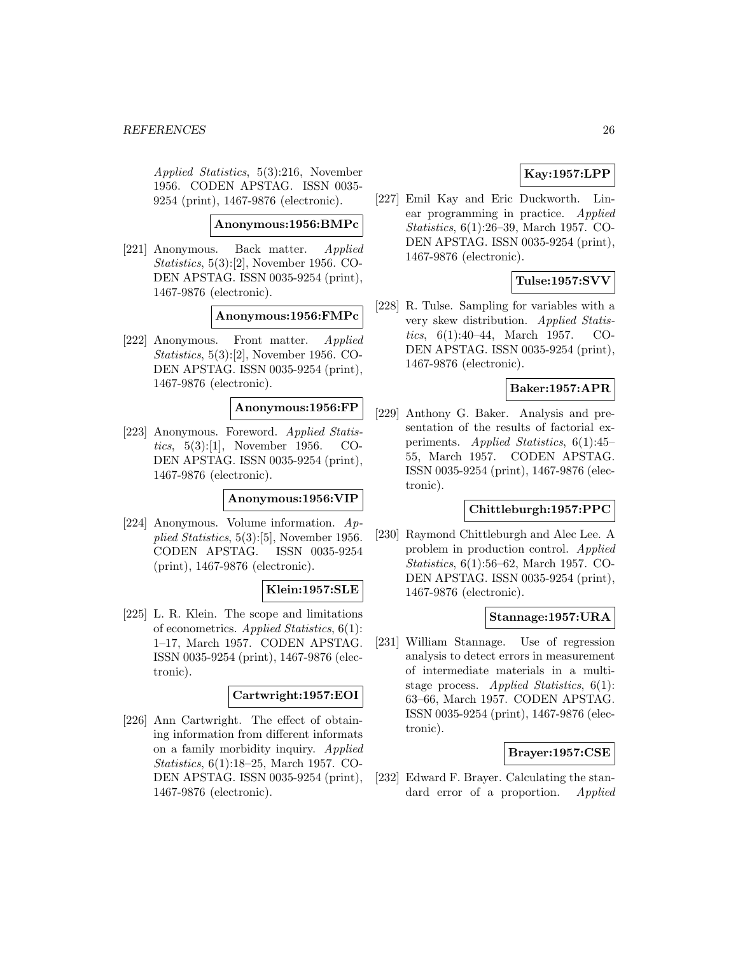Applied Statistics, 5(3):216, November 1956. CODEN APSTAG. ISSN 0035- 9254 (print), 1467-9876 (electronic).

#### **Anonymous:1956:BMPc**

[221] Anonymous. Back matter. Applied Statistics, 5(3):[2], November 1956. CO-DEN APSTAG. ISSN 0035-9254 (print), 1467-9876 (electronic).

#### **Anonymous:1956:FMPc**

[222] Anonymous. Front matter. Applied Statistics,  $5(3):[2]$ , November 1956. CO-DEN APSTAG. ISSN 0035-9254 (print), 1467-9876 (electronic).

#### **Anonymous:1956:FP**

[223] Anonymous. Foreword. Applied Statistics, 5(3):[1], November 1956. CO-DEN APSTAG. ISSN 0035-9254 (print), 1467-9876 (electronic).

#### **Anonymous:1956:VIP**

[224] Anonymous. Volume information. Applied Statistics, 5(3):[5], November 1956. CODEN APSTAG. ISSN 0035-9254 (print), 1467-9876 (electronic).

#### **Klein:1957:SLE**

[225] L. R. Klein. The scope and limitations of econometrics. Applied Statistics, 6(1): 1–17, March 1957. CODEN APSTAG. ISSN 0035-9254 (print), 1467-9876 (electronic).

### **Cartwright:1957:EOI**

[226] Ann Cartwright. The effect of obtaining information from different informats on a family morbidity inquiry. Applied Statistics, 6(1):18–25, March 1957. CO-DEN APSTAG. ISSN 0035-9254 (print), 1467-9876 (electronic).

# **Kay:1957:LPP**

[227] Emil Kay and Eric Duckworth. Linear programming in practice. Applied Statistics, 6(1):26–39, March 1957. CO-DEN APSTAG. ISSN 0035-9254 (print), 1467-9876 (electronic).

# **Tulse:1957:SVV**

[228] R. Tulse. Sampling for variables with a very skew distribution. Applied Statistics, 6(1):40–44, March 1957. CO-DEN APSTAG. ISSN 0035-9254 (print), 1467-9876 (electronic).

### **Baker:1957:APR**

[229] Anthony G. Baker. Analysis and presentation of the results of factorial experiments. Applied Statistics, 6(1):45– 55, March 1957. CODEN APSTAG. ISSN 0035-9254 (print), 1467-9876 (electronic).

### **Chittleburgh:1957:PPC**

[230] Raymond Chittleburgh and Alec Lee. A problem in production control. Applied Statistics, 6(1):56–62, March 1957. CO-DEN APSTAG. ISSN 0035-9254 (print), 1467-9876 (electronic).

### **Stannage:1957:URA**

[231] William Stannage. Use of regression analysis to detect errors in measurement of intermediate materials in a multistage process. Applied Statistics, 6(1): 63–66, March 1957. CODEN APSTAG. ISSN 0035-9254 (print), 1467-9876 (electronic).

#### **Brayer:1957:CSE**

[232] Edward F. Brayer. Calculating the standard error of a proportion. Applied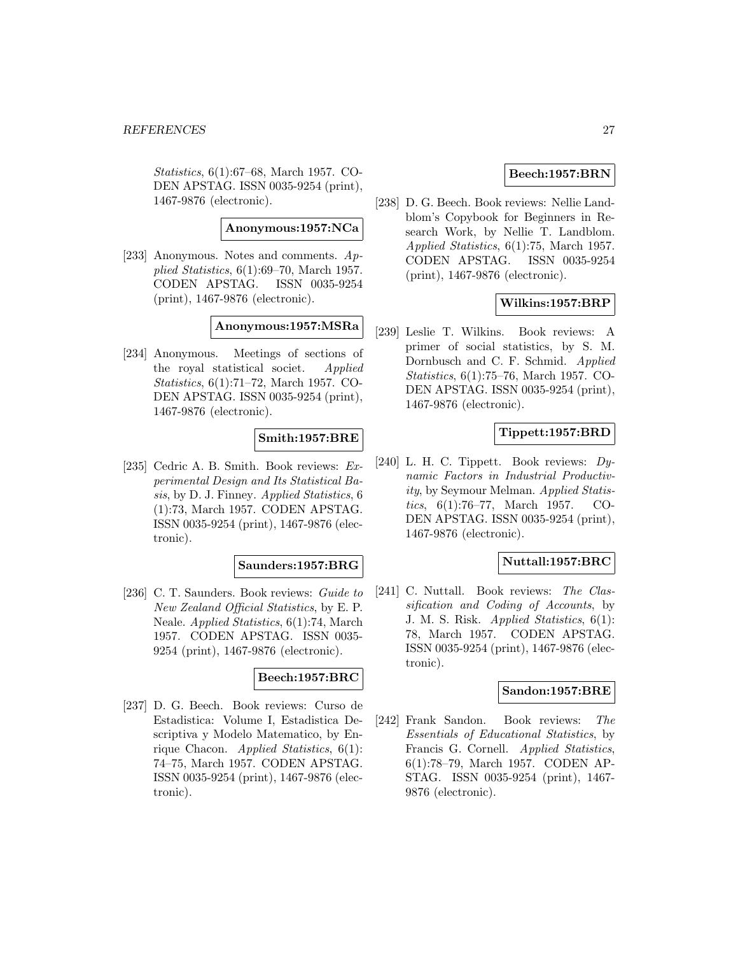Statistics, 6(1):67–68, March 1957. CO-DEN APSTAG. ISSN 0035-9254 (print), 1467-9876 (electronic).

**Anonymous:1957:NCa**

[233] Anonymous. Notes and comments. Applied Statistics, 6(1):69–70, March 1957. CODEN APSTAG. ISSN 0035-9254 (print), 1467-9876 (electronic).

#### **Anonymous:1957:MSRa**

[234] Anonymous. Meetings of sections of the royal statistical societ. Applied Statistics, 6(1):71–72, March 1957. CO-DEN APSTAG. ISSN 0035-9254 (print), 1467-9876 (electronic).

# **Smith:1957:BRE**

[235] Cedric A. B. Smith. Book reviews: Experimental Design and Its Statistical Basis, by D. J. Finney. Applied Statistics, 6 (1):73, March 1957. CODEN APSTAG. ISSN 0035-9254 (print), 1467-9876 (electronic).

#### **Saunders:1957:BRG**

[236] C. T. Saunders. Book reviews: Guide to New Zealand Official Statistics, by E. P. Neale. Applied Statistics, 6(1):74, March 1957. CODEN APSTAG. ISSN 0035- 9254 (print), 1467-9876 (electronic).

### **Beech:1957:BRC**

[237] D. G. Beech. Book reviews: Curso de Estadistica: Volume I, Estadistica Descriptiva y Modelo Matematico, by Enrique Chacon. Applied Statistics, 6(1): 74–75, March 1957. CODEN APSTAG. ISSN 0035-9254 (print), 1467-9876 (electronic).

# **Beech:1957:BRN**

[238] D. G. Beech. Book reviews: Nellie Landblom's Copybook for Beginners in Research Work, by Nellie T. Landblom. Applied Statistics, 6(1):75, March 1957. CODEN APSTAG. ISSN 0035-9254 (print), 1467-9876 (electronic).

# **Wilkins:1957:BRP**

[239] Leslie T. Wilkins. Book reviews: A primer of social statistics, by S. M. Dornbusch and C. F. Schmid. Applied Statistics, 6(1):75–76, March 1957. CO-DEN APSTAG. ISSN 0035-9254 (print), 1467-9876 (electronic).

# **Tippett:1957:BRD**

[240] L. H. C. Tippett. Book reviews: Dynamic Factors in Industrial Productivity, by Seymour Melman. Applied Statistics, 6(1):76–77, March 1957. CO-DEN APSTAG. ISSN 0035-9254 (print), 1467-9876 (electronic).

### **Nuttall:1957:BRC**

[241] C. Nuttall. Book reviews: The Classification and Coding of Accounts, by J. M. S. Risk. Applied Statistics, 6(1): 78, March 1957. CODEN APSTAG. ISSN 0035-9254 (print), 1467-9876 (electronic).

#### **Sandon:1957:BRE**

[242] Frank Sandon. Book reviews: The Essentials of Educational Statistics, by Francis G. Cornell. Applied Statistics, 6(1):78–79, March 1957. CODEN AP-STAG. ISSN 0035-9254 (print), 1467- 9876 (electronic).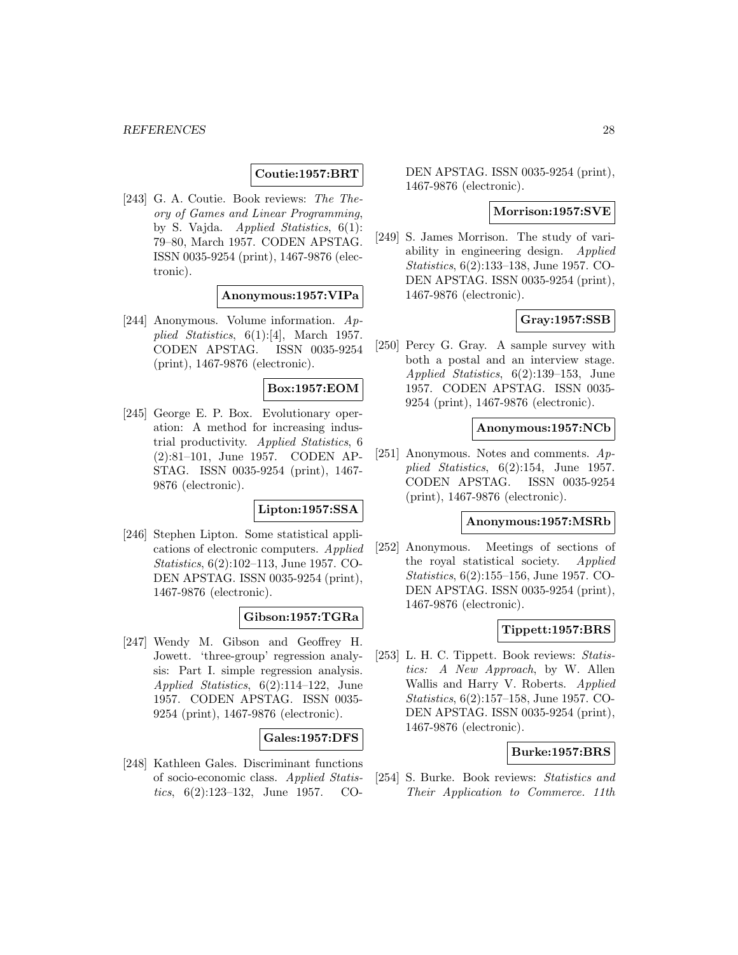# **Coutie:1957:BRT**

[243] G. A. Coutie. Book reviews: The Theory of Games and Linear Programming, by S. Vajda. Applied Statistics, 6(1): 79–80, March 1957. CODEN APSTAG. ISSN 0035-9254 (print), 1467-9876 (electronic).

**Anonymous:1957:VIPa**

[244] Anonymous. Volume information. Applied Statistics,  $6(1):[4]$ , March 1957. CODEN APSTAG. ISSN 0035-9254 (print), 1467-9876 (electronic).

### **Box:1957:EOM**

[245] George E. P. Box. Evolutionary operation: A method for increasing industrial productivity. Applied Statistics, 6 (2):81–101, June 1957. CODEN AP-STAG. ISSN 0035-9254 (print), 1467- 9876 (electronic).

### **Lipton:1957:SSA**

[246] Stephen Lipton. Some statistical applications of electronic computers. Applied Statistics, 6(2):102–113, June 1957. CO-DEN APSTAG. ISSN 0035-9254 (print), 1467-9876 (electronic).

# **Gibson:1957:TGRa**

[247] Wendy M. Gibson and Geoffrey H. Jowett. 'three-group' regression analysis: Part I. simple regression analysis. Applied Statistics, 6(2):114–122, June 1957. CODEN APSTAG. ISSN 0035- 9254 (print), 1467-9876 (electronic).

#### **Gales:1957:DFS**

[248] Kathleen Gales. Discriminant functions of socio-economic class. Applied Statistics, 6(2):123–132, June 1957. CO-

DEN APSTAG. ISSN 0035-9254 (print), 1467-9876 (electronic).

### **Morrison:1957:SVE**

[249] S. James Morrison. The study of variability in engineering design. Applied Statistics, 6(2):133–138, June 1957. CO-DEN APSTAG. ISSN 0035-9254 (print), 1467-9876 (electronic).

# **Gray:1957:SSB**

[250] Percy G. Gray. A sample survey with both a postal and an interview stage. Applied Statistics, 6(2):139–153, June 1957. CODEN APSTAG. ISSN 0035- 9254 (print), 1467-9876 (electronic).

#### **Anonymous:1957:NCb**

[251] Anonymous. Notes and comments.  $Ap$ plied Statistics, 6(2):154, June 1957. CODEN APSTAG. ISSN 0035-9254 (print), 1467-9876 (electronic).

#### **Anonymous:1957:MSRb**

[252] Anonymous. Meetings of sections of the royal statistical society. Applied Statistics, 6(2):155–156, June 1957. CO-DEN APSTAG. ISSN 0035-9254 (print), 1467-9876 (electronic).

### **Tippett:1957:BRS**

[253] L. H. C. Tippett. Book reviews: Statistics: A New Approach, by W. Allen Wallis and Harry V. Roberts. Applied Statistics, 6(2):157–158, June 1957. CO-DEN APSTAG. ISSN 0035-9254 (print), 1467-9876 (electronic).

#### **Burke:1957:BRS**

[254] S. Burke. Book reviews: Statistics and Their Application to Commerce. 11th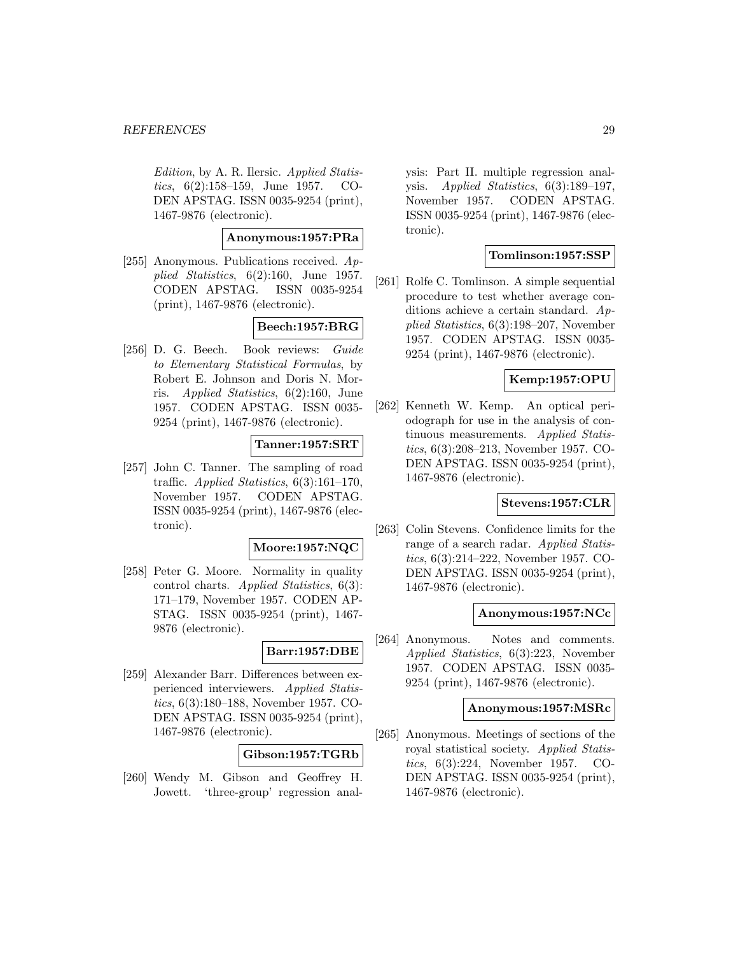Edition, by A. R. Ilersic. Applied Statistics, 6(2):158–159, June 1957. CO-DEN APSTAG. ISSN 0035-9254 (print), 1467-9876 (electronic).

# **Anonymous:1957:PRa**

[255] Anonymous. Publications received.  $Ap$ plied Statistics,  $6(2):160$ , June 1957. CODEN APSTAG. ISSN 0035-9254 (print), 1467-9876 (electronic).

# **Beech:1957:BRG**

[256] D. G. Beech. Book reviews: Guide to Elementary Statistical Formulas, by Robert E. Johnson and Doris N. Morris. Applied Statistics, 6(2):160, June 1957. CODEN APSTAG. ISSN 0035- 9254 (print), 1467-9876 (electronic).

#### **Tanner:1957:SRT**

[257] John C. Tanner. The sampling of road traffic. Applied Statistics, 6(3):161–170, November 1957. CODEN APSTAG. ISSN 0035-9254 (print), 1467-9876 (electronic).

#### **Moore:1957:NQC**

[258] Peter G. Moore. Normality in quality control charts. Applied Statistics, 6(3): 171–179, November 1957. CODEN AP-STAG. ISSN 0035-9254 (print), 1467- 9876 (electronic).

# **Barr:1957:DBE**

[259] Alexander Barr. Differences between experienced interviewers. Applied Statistics, 6(3):180–188, November 1957. CO-DEN APSTAG. ISSN 0035-9254 (print), 1467-9876 (electronic).

# **Gibson:1957:TGRb**

[260] Wendy M. Gibson and Geoffrey H. Jowett. 'three-group' regression analysis: Part II. multiple regression analysis. Applied Statistics, 6(3):189–197, November 1957. CODEN APSTAG. ISSN 0035-9254 (print), 1467-9876 (electronic).

#### **Tomlinson:1957:SSP**

[261] Rolfe C. Tomlinson. A simple sequential procedure to test whether average conditions achieve a certain standard. Applied Statistics, 6(3):198–207, November 1957. CODEN APSTAG. ISSN 0035- 9254 (print), 1467-9876 (electronic).

# **Kemp:1957:OPU**

[262] Kenneth W. Kemp. An optical periodograph for use in the analysis of continuous measurements. Applied Statistics, 6(3):208–213, November 1957. CO-DEN APSTAG. ISSN 0035-9254 (print), 1467-9876 (electronic).

# **Stevens:1957:CLR**

[263] Colin Stevens. Confidence limits for the range of a search radar. Applied Statistics, 6(3):214–222, November 1957. CO-DEN APSTAG. ISSN 0035-9254 (print), 1467-9876 (electronic).

#### **Anonymous:1957:NCc**

[264] Anonymous. Notes and comments. Applied Statistics, 6(3):223, November 1957. CODEN APSTAG. ISSN 0035- 9254 (print), 1467-9876 (electronic).

#### **Anonymous:1957:MSRc**

[265] Anonymous. Meetings of sections of the royal statistical society. Applied Statistics, 6(3):224, November 1957. CO-DEN APSTAG. ISSN 0035-9254 (print), 1467-9876 (electronic).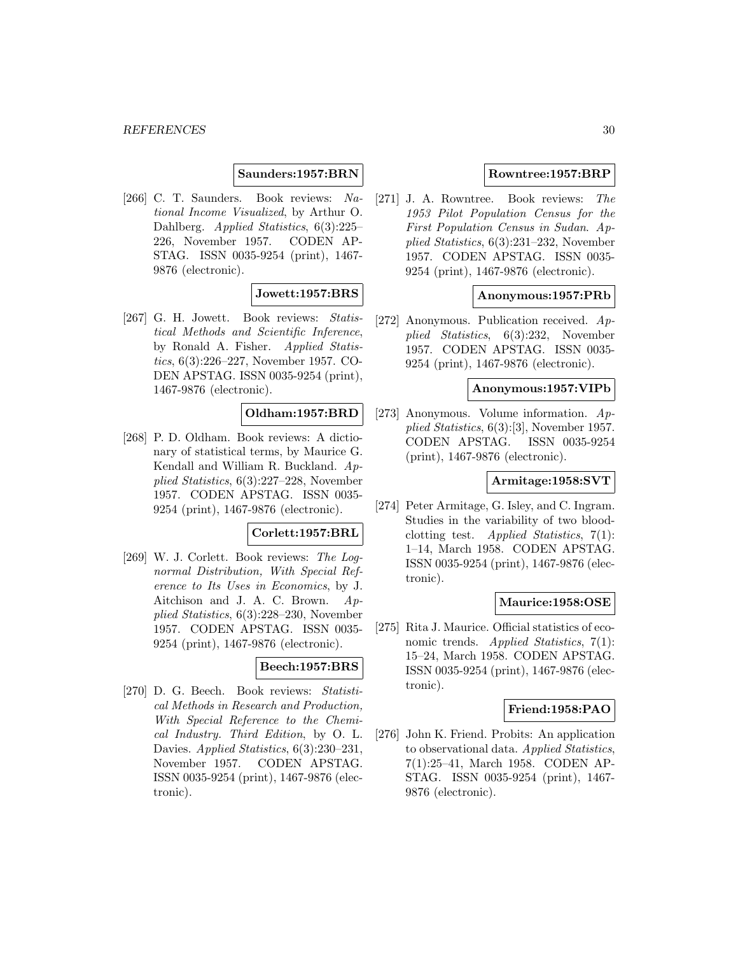### **Saunders:1957:BRN**

[266] C. T. Saunders. Book reviews: National Income Visualized, by Arthur O. Dahlberg. Applied Statistics, 6(3):225– 226, November 1957. CODEN AP-STAG. ISSN 0035-9254 (print), 1467- 9876 (electronic).

# **Jowett:1957:BRS**

[267] G. H. Jowett. Book reviews: Statistical Methods and Scientific Inference, by Ronald A. Fisher. Applied Statistics, 6(3):226–227, November 1957. CO-DEN APSTAG. ISSN 0035-9254 (print), 1467-9876 (electronic).

# **Oldham:1957:BRD**

[268] P. D. Oldham. Book reviews: A dictionary of statistical terms, by Maurice G. Kendall and William R. Buckland. Applied Statistics, 6(3):227–228, November 1957. CODEN APSTAG. ISSN 0035- 9254 (print), 1467-9876 (electronic).

### **Corlett:1957:BRL**

[269] W. J. Corlett. Book reviews: The Lognormal Distribution, With Special Reference to Its Uses in Economics, by J. Aitchison and J. A. C. Brown. Applied Statistics, 6(3):228–230, November 1957. CODEN APSTAG. ISSN 0035- 9254 (print), 1467-9876 (electronic).

# **Beech:1957:BRS**

[270] D. G. Beech. Book reviews: Statistical Methods in Research and Production, With Special Reference to the Chemical Industry. Third Edition, by O. L. Davies. Applied Statistics, 6(3):230–231, November 1957. CODEN APSTAG. ISSN 0035-9254 (print), 1467-9876 (electronic).

### **Rowntree:1957:BRP**

[271] J. A. Rowntree. Book reviews: The 1953 Pilot Population Census for the First Population Census in Sudan. Applied Statistics, 6(3):231–232, November 1957. CODEN APSTAG. ISSN 0035- 9254 (print), 1467-9876 (electronic).

#### **Anonymous:1957:PRb**

[272] Anonymous. Publication received. Applied Statistics, 6(3):232, November 1957. CODEN APSTAG. ISSN 0035- 9254 (print), 1467-9876 (electronic).

#### **Anonymous:1957:VIPb**

[273] Anonymous. Volume information. Applied Statistics, 6(3):[3], November 1957. CODEN APSTAG. ISSN 0035-9254 (print), 1467-9876 (electronic).

# **Armitage:1958:SVT**

[274] Peter Armitage, G. Isley, and C. Ingram. Studies in the variability of two bloodclotting test. Applied Statistics, 7(1): 1–14, March 1958. CODEN APSTAG. ISSN 0035-9254 (print), 1467-9876 (electronic).

#### **Maurice:1958:OSE**

[275] Rita J. Maurice. Official statistics of economic trends. Applied Statistics, 7(1): 15–24, March 1958. CODEN APSTAG. ISSN 0035-9254 (print), 1467-9876 (electronic).

#### **Friend:1958:PAO**

[276] John K. Friend. Probits: An application to observational data. Applied Statistics, 7(1):25–41, March 1958. CODEN AP-STAG. ISSN 0035-9254 (print), 1467- 9876 (electronic).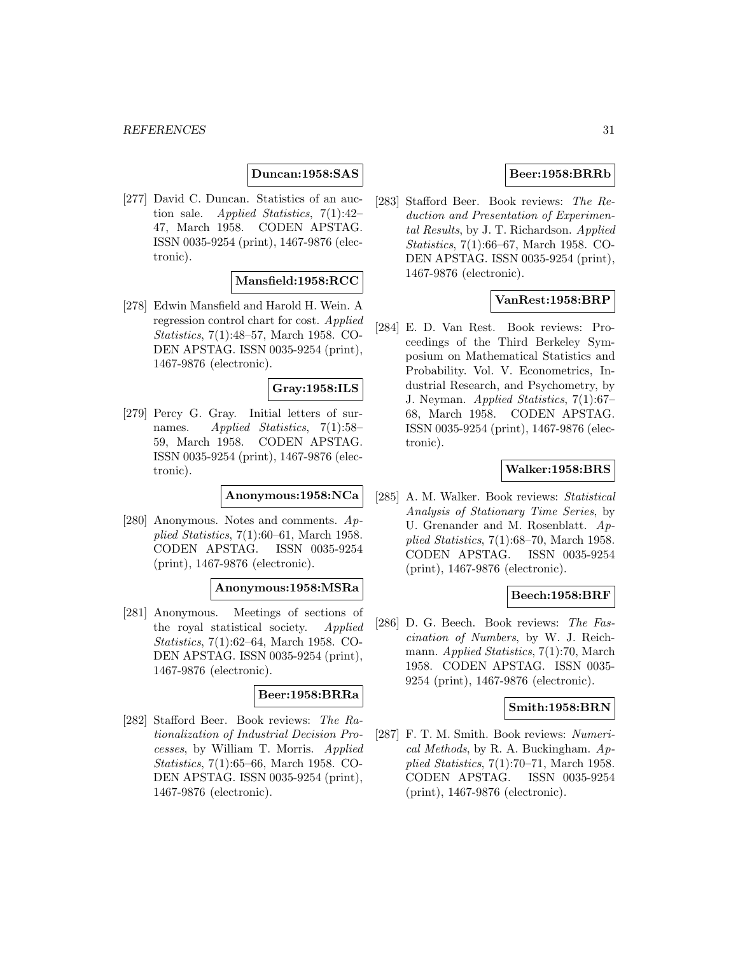# **Duncan:1958:SAS**

[277] David C. Duncan. Statistics of an auction sale. Applied Statistics, 7(1):42– 47, March 1958. CODEN APSTAG. ISSN 0035-9254 (print), 1467-9876 (electronic).

#### **Mansfield:1958:RCC**

[278] Edwin Mansfield and Harold H. Wein. A regression control chart for cost. Applied Statistics, 7(1):48–57, March 1958. CO-DEN APSTAG. ISSN 0035-9254 (print), 1467-9876 (electronic).

#### **Gray:1958:ILS**

[279] Percy G. Gray. Initial letters of surnames. Applied Statistics, 7(1):58– 59, March 1958. CODEN APSTAG. ISSN 0035-9254 (print), 1467-9876 (electronic).

### **Anonymous:1958:NCa**

[280] Anonymous. Notes and comments.  $Ap$ plied Statistics, 7(1):60–61, March 1958. CODEN APSTAG. ISSN 0035-9254 (print), 1467-9876 (electronic).

#### **Anonymous:1958:MSRa**

[281] Anonymous. Meetings of sections of the royal statistical society. Applied Statistics, 7(1):62–64, March 1958. CO-DEN APSTAG. ISSN 0035-9254 (print), 1467-9876 (electronic).

# **Beer:1958:BRRa**

[282] Stafford Beer. Book reviews: The Rationalization of Industrial Decision Processes, by William T. Morris. Applied Statistics, 7(1):65–66, March 1958. CO-DEN APSTAG. ISSN 0035-9254 (print), 1467-9876 (electronic).

#### **Beer:1958:BRRb**

[283] Stafford Beer. Book reviews: The Reduction and Presentation of Experimental Results, by J. T. Richardson. Applied Statistics, 7(1):66–67, March 1958. CO-DEN APSTAG. ISSN 0035-9254 (print), 1467-9876 (electronic).

#### **VanRest:1958:BRP**

[284] E. D. Van Rest. Book reviews: Proceedings of the Third Berkeley Symposium on Mathematical Statistics and Probability. Vol. V. Econometrics, Industrial Research, and Psychometry, by J. Neyman. Applied Statistics, 7(1):67– 68, March 1958. CODEN APSTAG. ISSN 0035-9254 (print), 1467-9876 (electronic).

#### **Walker:1958:BRS**

[285] A. M. Walker. Book reviews: Statistical Analysis of Stationary Time Series, by U. Grenander and M. Rosenblatt.  $Ap$ plied Statistics, 7(1):68–70, March 1958. CODEN APSTAG. ISSN 0035-9254 (print), 1467-9876 (electronic).

#### **Beech:1958:BRF**

[286] D. G. Beech. Book reviews: The Fascination of Numbers, by W. J. Reichmann. Applied Statistics, 7(1):70, March 1958. CODEN APSTAG. ISSN 0035- 9254 (print), 1467-9876 (electronic).

### **Smith:1958:BRN**

[287] F. T. M. Smith. Book reviews: Numerical Methods, by R. A. Buckingham. Applied Statistics, 7(1):70–71, March 1958. CODEN APSTAG. ISSN 0035-9254 (print), 1467-9876 (electronic).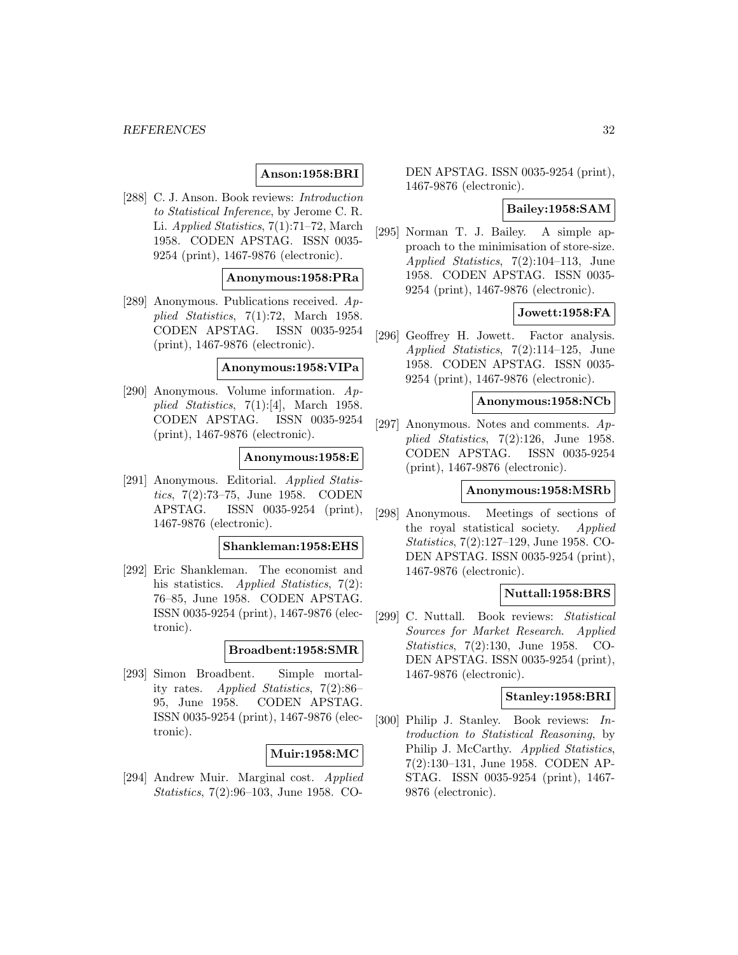# **Anson:1958:BRI**

[288] C. J. Anson. Book reviews: Introduction to Statistical Inference, by Jerome C. R. Li. Applied Statistics, 7(1):71–72, March 1958. CODEN APSTAG. ISSN 0035- 9254 (print), 1467-9876 (electronic).

### **Anonymous:1958:PRa**

[289] Anonymous. Publications received. Applied Statistics, 7(1):72, March 1958. CODEN APSTAG. ISSN 0035-9254 (print), 1467-9876 (electronic).

#### **Anonymous:1958:VIPa**

[290] Anonymous. Volume information. Applied Statistics,  $7(1):[4]$ , March 1958. CODEN APSTAG. ISSN 0035-9254 (print), 1467-9876 (electronic).

#### **Anonymous:1958:E**

[291] Anonymous. Editorial. Applied Statistics, 7(2):73–75, June 1958. CODEN APSTAG. ISSN 0035-9254 (print), 1467-9876 (electronic).

#### **Shankleman:1958:EHS**

[292] Eric Shankleman. The economist and his statistics. Applied Statistics, 7(2): 76–85, June 1958. CODEN APSTAG. ISSN 0035-9254 (print), 1467-9876 (electronic).

#### **Broadbent:1958:SMR**

[293] Simon Broadbent. Simple mortality rates. Applied Statistics, 7(2):86– 95, June 1958. CODEN APSTAG. ISSN 0035-9254 (print), 1467-9876 (electronic).

#### **Muir:1958:MC**

[294] Andrew Muir. Marginal cost. Applied Statistics, 7(2):96–103, June 1958. CO-

DEN APSTAG. ISSN 0035-9254 (print), 1467-9876 (electronic).

# **Bailey:1958:SAM**

[295] Norman T. J. Bailey. A simple approach to the minimisation of store-size. Applied Statistics, 7(2):104–113, June 1958. CODEN APSTAG. ISSN 0035- 9254 (print), 1467-9876 (electronic).

#### **Jowett:1958:FA**

[296] Geoffrey H. Jowett. Factor analysis. Applied Statistics, 7(2):114–125, June 1958. CODEN APSTAG. ISSN 0035- 9254 (print), 1467-9876 (electronic).

#### **Anonymous:1958:NCb**

[297] Anonymous. Notes and comments.  $Ap$ plied Statistics, 7(2):126, June 1958. CODEN APSTAG. ISSN 0035-9254 (print), 1467-9876 (electronic).

#### **Anonymous:1958:MSRb**

[298] Anonymous. Meetings of sections of the royal statistical society. Applied Statistics, 7(2):127–129, June 1958. CO-DEN APSTAG. ISSN 0035-9254 (print), 1467-9876 (electronic).

### **Nuttall:1958:BRS**

[299] C. Nuttall. Book reviews: Statistical Sources for Market Research. Applied Statistics, 7(2):130, June 1958. CO-DEN APSTAG. ISSN 0035-9254 (print), 1467-9876 (electronic).

### **Stanley:1958:BRI**

[300] Philip J. Stanley. Book reviews: Introduction to Statistical Reasoning, by Philip J. McCarthy. Applied Statistics, 7(2):130–131, June 1958. CODEN AP-STAG. ISSN 0035-9254 (print), 1467- 9876 (electronic).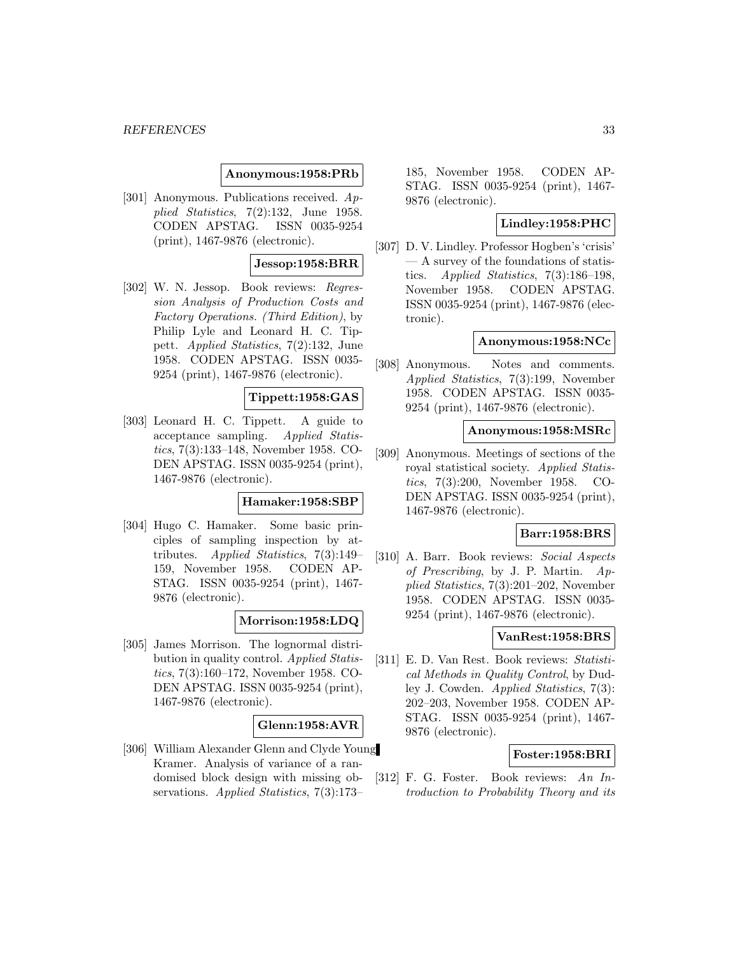#### **Anonymous:1958:PRb**

[301] Anonymous. Publications received. Applied Statistics, 7(2):132, June 1958. CODEN APSTAG. ISSN 0035-9254 (print), 1467-9876 (electronic).

### **Jessop:1958:BRR**

[302] W. N. Jessop. Book reviews: Regression Analysis of Production Costs and Factory Operations. (Third Edition), by Philip Lyle and Leonard H. C. Tippett. Applied Statistics, 7(2):132, June 1958. CODEN APSTAG. ISSN 0035- 9254 (print), 1467-9876 (electronic).

### **Tippett:1958:GAS**

[303] Leonard H. C. Tippett. A guide to acceptance sampling. Applied Statistics, 7(3):133–148, November 1958. CO-DEN APSTAG. ISSN 0035-9254 (print), 1467-9876 (electronic).

#### **Hamaker:1958:SBP**

[304] Hugo C. Hamaker. Some basic principles of sampling inspection by attributes. Applied Statistics, 7(3):149– 159, November 1958. CODEN AP-STAG. ISSN 0035-9254 (print), 1467- 9876 (electronic).

### **Morrison:1958:LDQ**

[305] James Morrison. The lognormal distribution in quality control. Applied Statistics, 7(3):160–172, November 1958. CO-DEN APSTAG. ISSN 0035-9254 (print), 1467-9876 (electronic).

#### **Glenn:1958:AVR**

[306] William Alexander Glenn and Clyde Young Kramer. Analysis of variance of a randomised block design with missing observations. Applied Statistics, 7(3):173–

185, November 1958. CODEN AP-STAG. ISSN 0035-9254 (print), 1467- 9876 (electronic).

# **Lindley:1958:PHC**

[307] D. V. Lindley. Professor Hogben's 'crisis' — A survey of the foundations of statistics. Applied Statistics, 7(3):186–198, November 1958. CODEN APSTAG. ISSN 0035-9254 (print), 1467-9876 (electronic).

#### **Anonymous:1958:NCc**

[308] Anonymous. Notes and comments. Applied Statistics, 7(3):199, November 1958. CODEN APSTAG. ISSN 0035- 9254 (print), 1467-9876 (electronic).

#### **Anonymous:1958:MSRc**

[309] Anonymous. Meetings of sections of the royal statistical society. Applied Statistics, 7(3):200, November 1958. CO-DEN APSTAG. ISSN 0035-9254 (print), 1467-9876 (electronic).

### **Barr:1958:BRS**

[310] A. Barr. Book reviews: Social Aspects of Prescribing, by J. P. Martin. Applied Statistics, 7(3):201–202, November 1958. CODEN APSTAG. ISSN 0035- 9254 (print), 1467-9876 (electronic).

# **VanRest:1958:BRS**

[311] E. D. Van Rest. Book reviews: Statistical Methods in Quality Control, by Dudley J. Cowden. Applied Statistics, 7(3): 202–203, November 1958. CODEN AP-STAG. ISSN 0035-9254 (print), 1467- 9876 (electronic).

### **Foster:1958:BRI**

[312] F. G. Foster. Book reviews: An Introduction to Probability Theory and its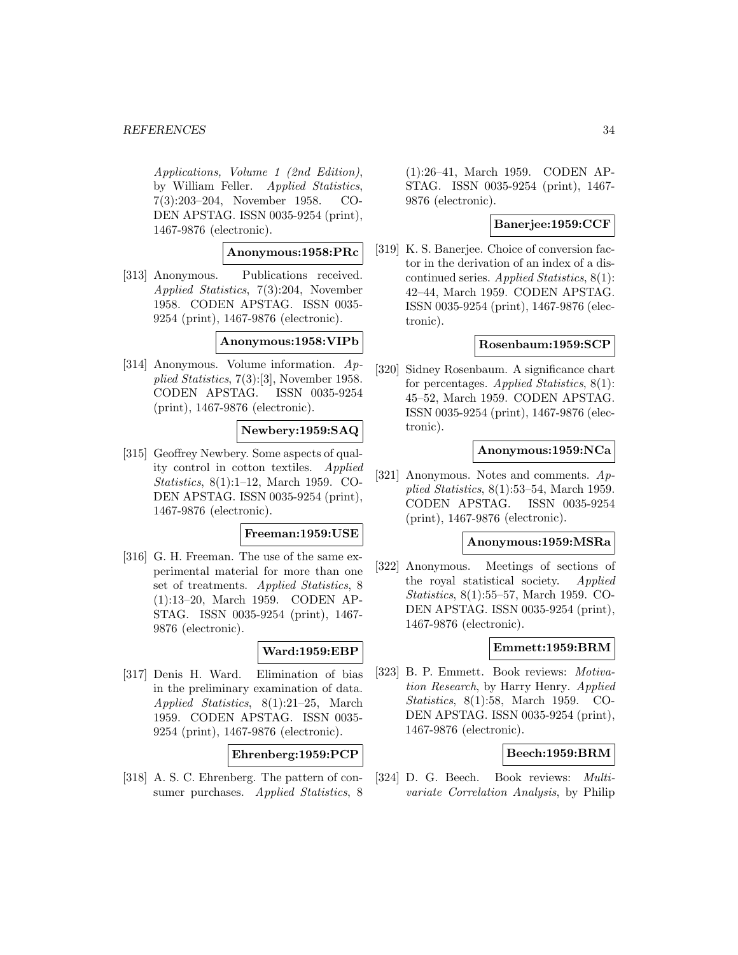#### *REFERENCES* 34

Applications, Volume 1 (2nd Edition), by William Feller. Applied Statistics, 7(3):203–204, November 1958. CO-DEN APSTAG. ISSN 0035-9254 (print), 1467-9876 (electronic).

# **Anonymous:1958:PRc**

[313] Anonymous. Publications received. Applied Statistics, 7(3):204, November 1958. CODEN APSTAG. ISSN 0035- 9254 (print), 1467-9876 (electronic).

#### **Anonymous:1958:VIPb**

[314] Anonymous. Volume information. Applied Statistics, 7(3):[3], November 1958. CODEN APSTAG. ISSN 0035-9254 (print), 1467-9876 (electronic).

#### **Newbery:1959:SAQ**

[315] Geoffrey Newbery. Some aspects of quality control in cotton textiles. Applied Statistics, 8(1):1–12, March 1959. CO-DEN APSTAG. ISSN 0035-9254 (print), 1467-9876 (electronic).

#### **Freeman:1959:USE**

[316] G. H. Freeman. The use of the same experimental material for more than one set of treatments. Applied Statistics, 8 (1):13–20, March 1959. CODEN AP-STAG. ISSN 0035-9254 (print), 1467- 9876 (electronic).

#### **Ward:1959:EBP**

[317] Denis H. Ward. Elimination of bias in the preliminary examination of data. Applied Statistics, 8(1):21–25, March 1959. CODEN APSTAG. ISSN 0035- 9254 (print), 1467-9876 (electronic).

# **Ehrenberg:1959:PCP**

[318] A. S. C. Ehrenberg. The pattern of consumer purchases. Applied Statistics, 8

(1):26–41, March 1959. CODEN AP-STAG. ISSN 0035-9254 (print), 1467- 9876 (electronic).

### **Banerjee:1959:CCF**

[319] K. S. Banerjee. Choice of conversion factor in the derivation of an index of a discontinued series. Applied Statistics, 8(1): 42–44, March 1959. CODEN APSTAG. ISSN 0035-9254 (print), 1467-9876 (electronic).

#### **Rosenbaum:1959:SCP**

[320] Sidney Rosenbaum. A significance chart for percentages. Applied Statistics,  $8(1)$ : 45–52, March 1959. CODEN APSTAG. ISSN 0035-9254 (print), 1467-9876 (electronic).

#### **Anonymous:1959:NCa**

[321] Anonymous. Notes and comments. Applied Statistics, 8(1):53–54, March 1959. CODEN APSTAG. ISSN 0035-9254 (print), 1467-9876 (electronic).

#### **Anonymous:1959:MSRa**

[322] Anonymous. Meetings of sections of the royal statistical society. Applied Statistics, 8(1):55–57, March 1959. CO-DEN APSTAG. ISSN 0035-9254 (print), 1467-9876 (electronic).

#### **Emmett:1959:BRM**

[323] B. P. Emmett. Book reviews: Motivation Research, by Harry Henry. Applied Statistics, 8(1):58, March 1959. CO-DEN APSTAG. ISSN 0035-9254 (print), 1467-9876 (electronic).

#### **Beech:1959:BRM**

[324] D. G. Beech. Book reviews: Multivariate Correlation Analysis, by Philip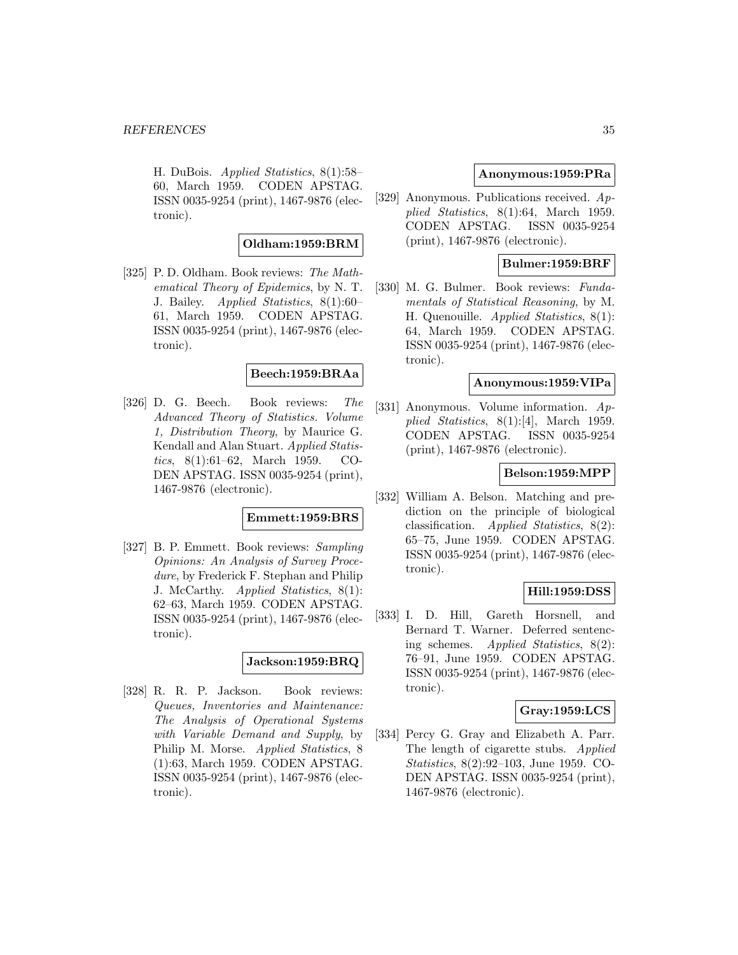H. DuBois. Applied Statistics, 8(1):58– 60, March 1959. CODEN APSTAG. ISSN 0035-9254 (print), 1467-9876 (electronic).

### **Oldham:1959:BRM**

[325] P. D. Oldham. Book reviews: The Mathematical Theory of Epidemics, by N. T. J. Bailey. Applied Statistics, 8(1):60– 61, March 1959. CODEN APSTAG. ISSN 0035-9254 (print), 1467-9876 (electronic).

### **Beech:1959:BRAa**

[326] D. G. Beech. Book reviews: The Advanced Theory of Statistics. Volume 1, Distribution Theory, by Maurice G. Kendall and Alan Stuart. Applied Statistics, 8(1):61–62, March 1959. CO-DEN APSTAG. ISSN 0035-9254 (print), 1467-9876 (electronic).

### **Emmett:1959:BRS**

[327] B. P. Emmett. Book reviews: Sampling Opinions: An Analysis of Survey Procedure, by Frederick F. Stephan and Philip J. McCarthy. Applied Statistics, 8(1): 62–63, March 1959. CODEN APSTAG. ISSN 0035-9254 (print), 1467-9876 (electronic).

# **Jackson:1959:BRQ**

[328] R. R. P. Jackson. Book reviews: Queues, Inventories and Maintenance: The Analysis of Operational Systems with Variable Demand and Supply, by Philip M. Morse. Applied Statistics, 8 (1):63, March 1959. CODEN APSTAG. ISSN 0035-9254 (print), 1467-9876 (electronic).

#### **Anonymous:1959:PRa**

[329] Anonymous. Publications received. Applied Statistics, 8(1):64, March 1959. CODEN APSTAG. ISSN 0035-9254 (print), 1467-9876 (electronic).

### **Bulmer:1959:BRF**

[330] M. G. Bulmer. Book reviews: Fundamentals of Statistical Reasoning, by M. H. Quenouille. Applied Statistics, 8(1): 64, March 1959. CODEN APSTAG. ISSN 0035-9254 (print), 1467-9876 (electronic).

# **Anonymous:1959:VIPa**

[331] Anonymous. Volume information. Applied Statistics, 8(1):[4], March 1959. CODEN APSTAG. ISSN 0035-9254 (print), 1467-9876 (electronic).

#### **Belson:1959:MPP**

[332] William A. Belson. Matching and prediction on the principle of biological classification. Applied Statistics, 8(2): 65–75, June 1959. CODEN APSTAG. ISSN 0035-9254 (print), 1467-9876 (electronic).

### **Hill:1959:DSS**

[333] I. D. Hill, Gareth Horsnell, and Bernard T. Warner. Deferred sentencing schemes. Applied Statistics, 8(2): 76–91, June 1959. CODEN APSTAG. ISSN 0035-9254 (print), 1467-9876 (electronic).

### **Gray:1959:LCS**

[334] Percy G. Gray and Elizabeth A. Parr. The length of cigarette stubs. Applied Statistics, 8(2):92–103, June 1959. CO-DEN APSTAG. ISSN 0035-9254 (print), 1467-9876 (electronic).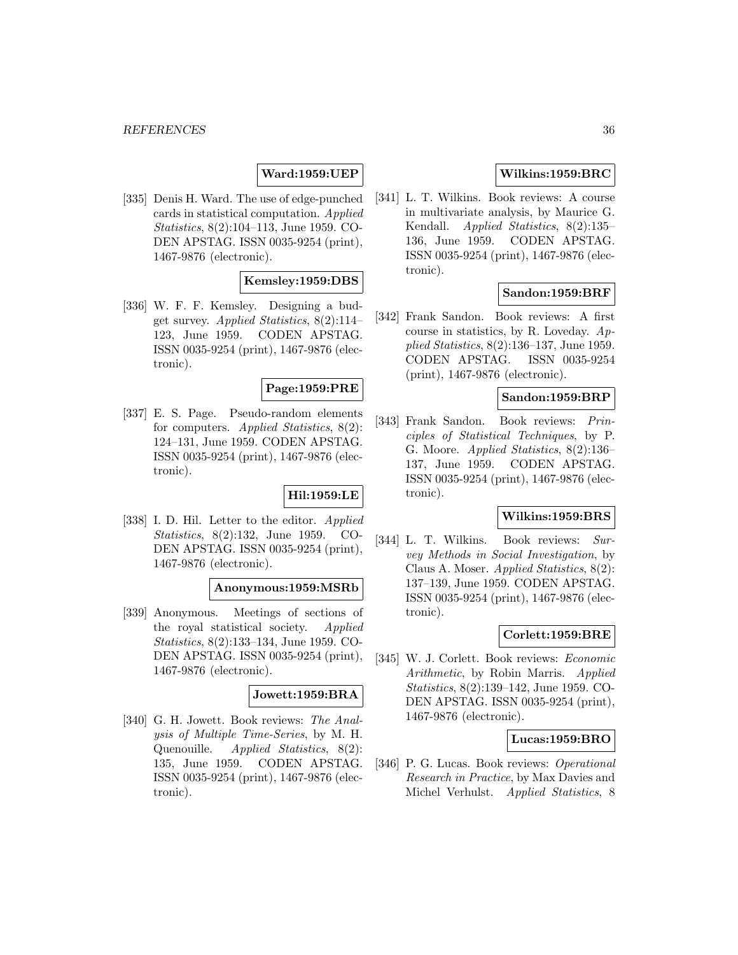# **Ward:1959:UEP**

[335] Denis H. Ward. The use of edge-punched cards in statistical computation. Applied Statistics, 8(2):104–113, June 1959. CO-DEN APSTAG. ISSN 0035-9254 (print), 1467-9876 (electronic).

#### **Kemsley:1959:DBS**

[336] W. F. F. Kemsley. Designing a budget survey. Applied Statistics,  $8(2):114-$ 123, June 1959. CODEN APSTAG. ISSN 0035-9254 (print), 1467-9876 (electronic).

#### **Page:1959:PRE**

[337] E. S. Page. Pseudo-random elements for computers. Applied Statistics, 8(2): 124–131, June 1959. CODEN APSTAG. ISSN 0035-9254 (print), 1467-9876 (electronic).

# **Hil:1959:LE**

[338] I. D. Hil. Letter to the editor. Applied Statistics, 8(2):132, June 1959. CO-DEN APSTAG. ISSN 0035-9254 (print), 1467-9876 (electronic).

#### **Anonymous:1959:MSRb**

[339] Anonymous. Meetings of sections of the royal statistical society. Applied Statistics, 8(2):133–134, June 1959. CO-DEN APSTAG. ISSN 0035-9254 (print), 1467-9876 (electronic).

# **Jowett:1959:BRA**

[340] G. H. Jowett. Book reviews: The Analysis of Multiple Time-Series, by M. H. Quenouille. Applied Statistics, 8(2): 135, June 1959. CODEN APSTAG. ISSN 0035-9254 (print), 1467-9876 (electronic).

# **Wilkins:1959:BRC**

[341] L. T. Wilkins. Book reviews: A course in multivariate analysis, by Maurice G. Kendall. Applied Statistics, 8(2):135– 136, June 1959. CODEN APSTAG. ISSN 0035-9254 (print), 1467-9876 (electronic).

#### **Sandon:1959:BRF**

[342] Frank Sandon. Book reviews: A first course in statistics, by R. Loveday.  $Ap$ plied Statistics, 8(2):136–137, June 1959. CODEN APSTAG. ISSN 0035-9254 (print), 1467-9876 (electronic).

### **Sandon:1959:BRP**

[343] Frank Sandon. Book reviews: Principles of Statistical Techniques, by P. G. Moore. Applied Statistics, 8(2):136– 137, June 1959. CODEN APSTAG. ISSN 0035-9254 (print), 1467-9876 (electronic).

### **Wilkins:1959:BRS**

[344] L. T. Wilkins. Book reviews: Survey Methods in Social Investigation, by Claus A. Moser. Applied Statistics, 8(2): 137–139, June 1959. CODEN APSTAG. ISSN 0035-9254 (print), 1467-9876 (electronic).

### **Corlett:1959:BRE**

[345] W. J. Corlett. Book reviews: Economic Arithmetic, by Robin Marris. Applied Statistics, 8(2):139–142, June 1959. CO-DEN APSTAG. ISSN 0035-9254 (print), 1467-9876 (electronic).

#### **Lucas:1959:BRO**

[346] P. G. Lucas. Book reviews: Operational Research in Practice, by Max Davies and Michel Verhulst. Applied Statistics, 8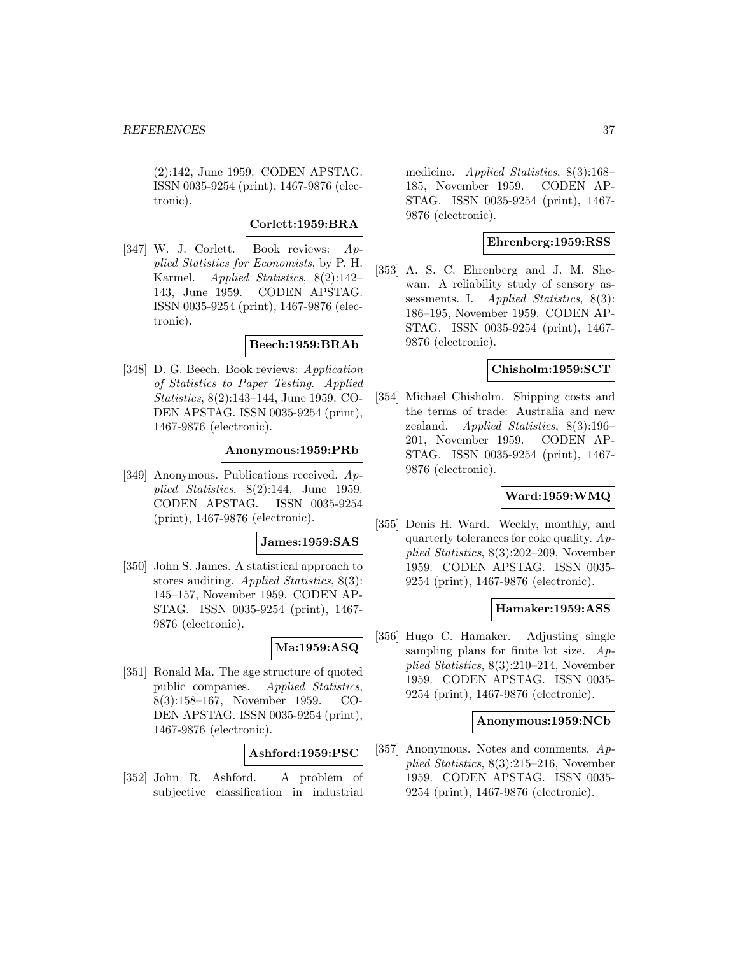(2):142, June 1959. CODEN APSTAG. ISSN 0035-9254 (print), 1467-9876 (electronic).

#### **Corlett:1959:BRA**

[347] W. J. Corlett. Book reviews: Applied Statistics for Economists, by P. H. Karmel. Applied Statistics, 8(2):142– 143, June 1959. CODEN APSTAG. ISSN 0035-9254 (print), 1467-9876 (electronic).

### **Beech:1959:BRAb**

[348] D. G. Beech. Book reviews: Application of Statistics to Paper Testing. Applied Statistics, 8(2):143–144, June 1959. CO-DEN APSTAG. ISSN 0035-9254 (print), 1467-9876 (electronic).

### **Anonymous:1959:PRb**

[349] Anonymous. Publications received. Applied Statistics, 8(2):144, June 1959. CODEN APSTAG. ISSN 0035-9254 (print), 1467-9876 (electronic).

#### **James:1959:SAS**

[350] John S. James. A statistical approach to stores auditing. Applied Statistics, 8(3): 145–157, November 1959. CODEN AP-STAG. ISSN 0035-9254 (print), 1467- 9876 (electronic).

### **Ma:1959:ASQ**

[351] Ronald Ma. The age structure of quoted public companies. Applied Statistics, 8(3):158–167, November 1959. CO-DEN APSTAG. ISSN 0035-9254 (print), 1467-9876 (electronic).

#### **Ashford:1959:PSC**

[352] John R. Ashford. A problem of subjective classification in industrial

medicine. *Applied Statistics*, 8(3):168– 185, November 1959. CODEN AP-STAG. ISSN 0035-9254 (print), 1467- 9876 (electronic).

### **Ehrenberg:1959:RSS**

[353] A. S. C. Ehrenberg and J. M. Shewan. A reliability study of sensory assessments. I. *Applied Statistics*, 8(3): 186–195, November 1959. CODEN AP-STAG. ISSN 0035-9254 (print), 1467- 9876 (electronic).

#### **Chisholm:1959:SCT**

[354] Michael Chisholm. Shipping costs and the terms of trade: Australia and new zealand. Applied Statistics, 8(3):196– 201, November 1959. CODEN AP-STAG. ISSN 0035-9254 (print), 1467- 9876 (electronic).

# **Ward:1959:WMQ**

[355] Denis H. Ward. Weekly, monthly, and quarterly tolerances for coke quality.  $Ap$ plied Statistics, 8(3):202–209, November 1959. CODEN APSTAG. ISSN 0035- 9254 (print), 1467-9876 (electronic).

#### **Hamaker:1959:ASS**

[356] Hugo C. Hamaker. Adjusting single sampling plans for finite lot size.  $Ap$ plied Statistics, 8(3):210–214, November 1959. CODEN APSTAG. ISSN 0035- 9254 (print), 1467-9876 (electronic).

### **Anonymous:1959:NCb**

[357] Anonymous. Notes and comments.  $Ap$ plied Statistics, 8(3):215–216, November 1959. CODEN APSTAG. ISSN 0035- 9254 (print), 1467-9876 (electronic).